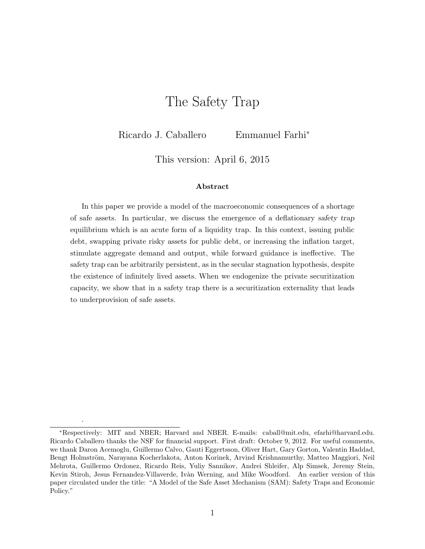# The Safety Trap

Ricardo J. Caballero Emmanuel Farhi<sup>∗</sup>

This version: April 6, 2015

#### Abstract

In this paper we provide a model of the macroeconomic consequences of a shortage of safe assets. In particular, we discuss the emergence of a deflationary safety trap equilibrium which is an acute form of a liquidity trap. In this context, issuing public debt, swapping private risky assets for public debt, or increasing the inflation target, stimulate aggregate demand and output, while forward guidance is ineffective. The safety trap can be arbitrarily persistent, as in the secular stagnation hypothesis, despite the existence of infinitely lived assets. When we endogenize the private securitization capacity, we show that in a safety trap there is a securitization externality that leads to underprovision of safe assets.

.

<sup>∗</sup>Respectively: MIT and NBER; Harvard and NBER. E-mails: caball@mit.edu, efarhi@harvard.edu. Ricardo Caballero thanks the NSF for financial support. First draft: October 9, 2012. For useful comments, we thank Daron Acemoglu, Guillermo Calvo, Gauti Eggertsson, Oliver Hart, Gary Gorton, Valentin Haddad, Bengt Holmström, Narayana Kocherlakota, Anton Korinek, Arvind Krishnamurthy, Matteo Maggiori, Neil Mehrota, Guillermo Ordonez, Ricardo Reis, Yuliy Sannikov, Andrei Shleifer, Alp Simsek, Jeremy Stein, Kevin Stiroh, Jesus Fernandez-Villaverde, Ivàn Werning, and Mike Woodford. An earlier version of this paper circulated under the title: "A Model of the Safe Asset Mechanism (SAM): Safety Traps and Economic Policy."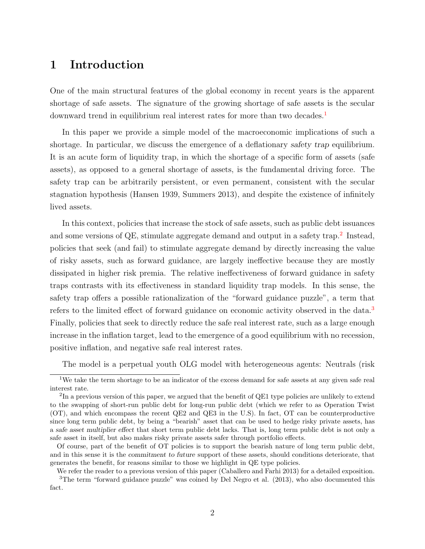### 1 Introduction

One of the main structural features of the global economy in recent years is the apparent shortage of safe assets. The signature of the growing shortage of safe assets is the secular downward trend in equilibrium real interest rates for more than two decades.[1](#page-1-0)

In this paper we provide a simple model of the macroeconomic implications of such a shortage. In particular, we discuss the emergence of a deflationary safety trap equilibrium. It is an acute form of liquidity trap, in which the shortage of a specific form of assets (safe assets), as opposed to a general shortage of assets, is the fundamental driving force. The safety trap can be arbitrarily persistent, or even permanent, consistent with the secular stagnation hypothesis (Hansen 1939, Summers 2013), and despite the existence of infinitely lived assets.

In this context, policies that increase the stock of safe assets, such as public debt issuances and some versions of QE, stimulate aggregate demand and output in a safety trap.<sup>[2](#page-1-1)</sup> Instead, policies that seek (and fail) to stimulate aggregate demand by directly increasing the value of risky assets, such as forward guidance, are largely ineffective because they are mostly dissipated in higher risk premia. The relative ineffectiveness of forward guidance in safety traps contrasts with its effectiveness in standard liquidity trap models. In this sense, the safety trap offers a possible rationalization of the "forward guidance puzzle", a term that refers to the limited effect of forward guidance on economic activity observed in the data.[3](#page-1-2) Finally, policies that seek to directly reduce the safe real interest rate, such as a large enough increase in the inflation target, lead to the emergence of a good equilibrium with no recession, positive inflation, and negative safe real interest rates.

<span id="page-1-0"></span>The model is a perpetual youth OLG model with heterogeneous agents: Neutrals (risk

<span id="page-1-2"></span>We refer the reader to a previous version of this paper (Caballero and Farhi 2013) for a detailed exposition.

<sup>&</sup>lt;sup>1</sup>We take the term shortage to be an indicator of the excess demand for safe assets at any given safe real interest rate.

<span id="page-1-1"></span><sup>&</sup>lt;sup>2</sup>In a previous version of this paper, we argued that the benefit of QE1 type policies are unlikely to extend to the swapping of short-run public debt for long-run public debt (which we refer to as Operation Twist (OT), and which encompass the recent QE2 and QE3 in the U.S). In fact, OT can be counterproductive since long term public debt, by being a "bearish" asset that can be used to hedge risky private assets, has a safe asset multiplier effect that short term public debt lacks. That is, long term public debt is not only a safe asset in itself, but also makes risky private assets safer through portfolio effects.

Of course, part of the benefit of OT policies is to support the bearish nature of long term public debt, and in this sense it is the commitment to future support of these assets, should conditions deteriorate, that generates the benefit, for reasons similar to those we highlight in QE type policies.

<sup>&</sup>lt;sup>3</sup>The term "forward guidance puzzle" was coined by Del Negro et al. (2013), who also documented this fact.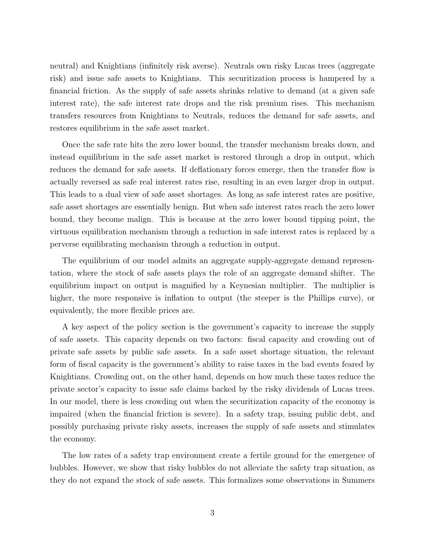neutral) and Knightians (infinitely risk averse). Neutrals own risky Lucas trees (aggregate risk) and issue safe assets to Knightians. This securitization process is hampered by a financial friction. As the supply of safe assets shrinks relative to demand (at a given safe interest rate), the safe interest rate drops and the risk premium rises. This mechanism transfers resources from Knightians to Neutrals, reduces the demand for safe assets, and restores equilibrium in the safe asset market.

Once the safe rate hits the zero lower bound, the transfer mechanism breaks down, and instead equilibrium in the safe asset market is restored through a drop in output, which reduces the demand for safe assets. If deflationary forces emerge, then the transfer flow is actually reversed as safe real interest rates rise, resulting in an even larger drop in output. This leads to a dual view of safe asset shortages. As long as safe interest rates are positive, safe asset shortages are essentially benign. But when safe interest rates reach the zero lower bound, they become malign. This is because at the zero lower bound tipping point, the virtuous equilibration mechanism through a reduction in safe interest rates is replaced by a perverse equilibrating mechanism through a reduction in output.

The equilibrium of our model admits an aggregate supply-aggregate demand representation, where the stock of safe assets plays the role of an aggregate demand shifter. The equilibrium impact on output is magnified by a Keynesian multiplier. The multiplier is higher, the more responsive is inflation to output (the steeper is the Phillips curve), or equivalently, the more flexible prices are.

A key aspect of the policy section is the government's capacity to increase the supply of safe assets. This capacity depends on two factors: fiscal capacity and crowding out of private safe assets by public safe assets. In a safe asset shortage situation, the relevant form of fiscal capacity is the government's ability to raise taxes in the bad events feared by Knightians. Crowding out, on the other hand, depends on how much these taxes reduce the private sector's capacity to issue safe claims backed by the risky dividends of Lucas trees. In our model, there is less crowding out when the securitization capacity of the economy is impaired (when the financial friction is severe). In a safety trap, issuing public debt, and possibly purchasing private risky assets, increases the supply of safe assets and stimulates the economy.

The low rates of a safety trap environment create a fertile ground for the emergence of bubbles. However, we show that risky bubbles do not alleviate the safety trap situation, as they do not expand the stock of safe assets. This formalizes some observations in Summers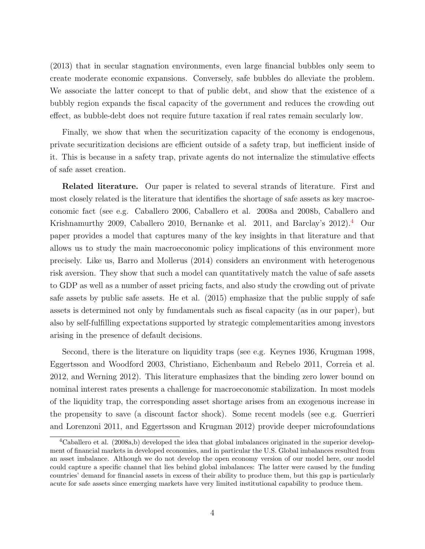(2013) that in secular stagnation environments, even large financial bubbles only seem to create moderate economic expansions. Conversely, safe bubbles do alleviate the problem. We associate the latter concept to that of public debt, and show that the existence of a bubbly region expands the fiscal capacity of the government and reduces the crowding out effect, as bubble-debt does not require future taxation if real rates remain secularly low.

Finally, we show that when the securitization capacity of the economy is endogenous, private securitization decisions are efficient outside of a safety trap, but inefficient inside of it. This is because in a safety trap, private agents do not internalize the stimulative effects of safe asset creation.

Related literature. Our paper is related to several strands of literature. First and most closely related is the literature that identifies the shortage of safe assets as key macroeconomic fact (see e.g. Caballero 2006, Caballero et al. 2008a and 2008b, Caballero and Krishnamurthy 2009, Caballero 2010, Bernanke et al. 2011, and Barclay's 2012).<sup>[4](#page-3-0)</sup> Our paper provides a model that captures many of the key insights in that literature and that allows us to study the main macroeconomic policy implications of this environment more precisely. Like us, Barro and Mollerus (2014) considers an environment with heterogenous risk aversion. They show that such a model can quantitatively match the value of safe assets to GDP as well as a number of asset pricing facts, and also study the crowding out of private safe assets by public safe assets. He et al. (2015) emphasize that the public supply of safe assets is determined not only by fundamentals such as fiscal capacity (as in our paper), but also by self-fulfilling expectations supported by strategic complementarities among investors arising in the presence of default decisions.

Second, there is the literature on liquidity traps (see e.g. Keynes 1936, Krugman 1998, Eggertsson and Woodford 2003, Christiano, Eichenbaum and Rebelo 2011, Correia et al. 2012, and Werning 2012). This literature emphasizes that the binding zero lower bound on nominal interest rates presents a challenge for macroeconomic stabilization. In most models of the liquidity trap, the corresponding asset shortage arises from an exogenous increase in the propensity to save (a discount factor shock). Some recent models (see e.g. Guerrieri and Lorenzoni 2011, and Eggertsson and Krugman 2012) provide deeper microfoundations

<span id="page-3-0"></span><sup>&</sup>lt;sup>4</sup>Caballero et al. (2008a,b) developed the idea that global imbalances originated in the superior development of financial markets in developed economies, and in particular the U.S. Global imbalances resulted from an asset imbalance. Although we do not develop the open economy version of our model here, our model could capture a specific channel that lies behind global imbalances: The latter were caused by the funding countries' demand for financial assets in excess of their ability to produce them, but this gap is particularly acute for safe assets since emerging markets have very limited institutional capability to produce them.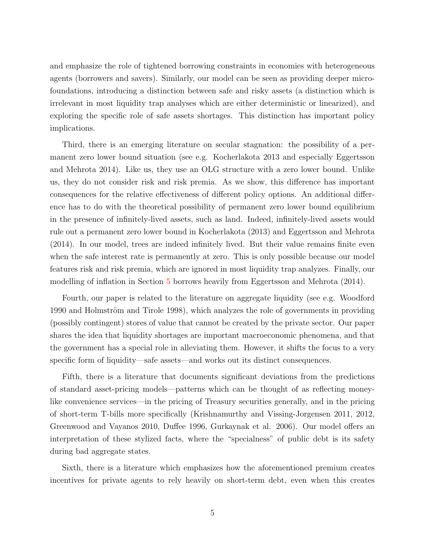and emphasize the role of tightened borrowing constraints in economies with heterogeneous agents (borrowers and savers). Similarly, our model can be seen as providing deeper microfoundations, introducing a distinction between safe and risky assets (a distinction which is irrelevant in most liquidity trap analyses which are either deterministic or linearized), and exploring the specific role of safe assets shortages. This distinction has important policy implications.

Third, there is an emerging literature on secular stagnation: the possibility of a permanent zero lower bound situation (see e.g. Kocherlakota 2013 and especially Eggertsson and Mehrota 2014). Like us, they use an OLG structure with a zero lower bound. Unlike us, they do not consider risk and risk premia. As we show, this difference has important consequences for the relative effectiveness of different policy options. An additional difference has to do with the theoretical possibility of permanent zero lower bound equilibrium in the presence of infinitely-lived assets, such as land. Indeed, infinitely-lived assets would rule out a permanent zero lower bound in Kocherlakota (2013) and Eggertsson and Mehrota (2014). In our model, trees are indeed infinitely lived. But their value remains finite even when the safe interest rate is permanently at zero. This is only possible because our model features risk and risk premia, which are ignored in most liquidity trap analyzes. Finally, our modelling of inflation in Section [5](#page-29-0) borrows heavily from Eggertsson and Mehrota (2014).

Fourth, our paper is related to the literature on aggregate liquidity (see e.g. Woodford 1990 and Holmström and Tirole 1998), which analyzes the role of governments in providing (possibly contingent) stores of value that cannot be created by the private sector. Our paper shares the idea that liquidity shortages are important macroeconomic phenomena, and that the government has a special role in alleviating them. However, it shifts the focus to a very specific form of liquidity—safe assets—and works out its distinct consequences.

Fifth, there is a literature that documents significant deviations from the predictions of standard asset-pricing models—patterns which can be thought of as reflecting moneylike convenience services—in the pricing of Treasury securities generally, and in the pricing of short-term T-bills more specifically (Krishnamurthy and Vissing-Jorgensen 2011, 2012, Greenwood and Vayanos 2010, Duffee 1996, Gurkaynak et al. 2006). Our model offers an interpretation of these stylized facts, where the "specialness" of public debt is its safety during bad aggregate states.

Sixth, there is a literature which emphasizes how the aforementioned premium creates incentives for private agents to rely heavily on short-term debt, even when this creates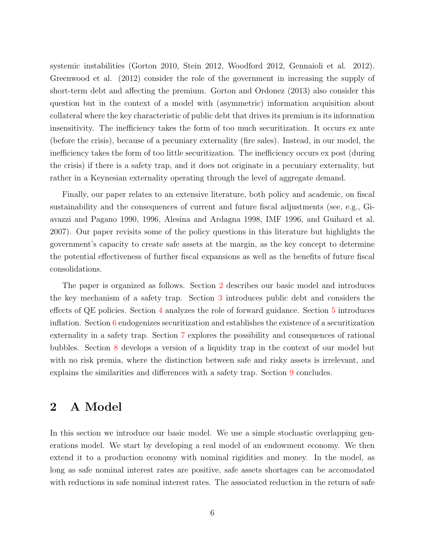systemic instabilities (Gorton 2010, Stein 2012, Woodford 2012, Gennaioli et al. 2012). Greenwood et al. (2012) consider the role of the government in increasing the supply of short-term debt and affecting the premium. Gorton and Ordonez (2013) also consider this question but in the context of a model with (asymmetric) information acquisition about collateral where the key characteristic of public debt that drives its premium is its information insensitivity. The inefficiency takes the form of too much securitization. It occurs ex ante (before the crisis), because of a pecuniary externality (fire sales). Instead, in our model, the inefficiency takes the form of too little securitization. The inefficiency occurs ex post (during the crisis) if there is a safety trap, and it does not originate in a pecuniary externality, but rather in a Keynesian externality operating through the level of aggregate demand.

Finally, our paper relates to an extensive literature, both policy and academic, on fiscal sustainability and the consequences of current and future fiscal adjustments (see, e.g., Giavazzi and Pagano 1990, 1996, Alesina and Ardagna 1998, IMF 1996, and Guihard et al. 2007). Our paper revisits some of the policy questions in this literature but highlights the government's capacity to create safe assets at the margin, as the key concept to determine the potential effectiveness of further fiscal expansions as well as the benefits of future fiscal consolidations.

The paper is organized as follows. Section [2](#page-5-0) describes our basic model and introduces the key mechanism of a safety trap. Section [3](#page-19-0) introduces public debt and considers the effects of QE policies. Section [4](#page-25-0) analyzes the role of forward guidance. Section [5](#page-29-0) introduces inflation. Section  $6$  endogenizes securitization and establishes the existence of a securitization externality in a safety trap. Section [7](#page-38-0) explores the possibility and consequences of rational bubbles. Section [8](#page-43-0) develops a version of a liquidity trap in the context of our model but with no risk premia, where the distinction between safe and risky assets is irrelevant, and explains the similarities and differences with a safety trap. Section [9](#page-47-0) concludes.

## <span id="page-5-0"></span>2 A Model

In this section we introduce our basic model. We use a simple stochastic overlapping generations model. We start by developing a real model of an endowment economy. We then extend it to a production economy with nominal rigidities and money. In the model, as long as safe nominal interest rates are positive, safe assets shortages can be accomodated with reductions in safe nominal interest rates. The associated reduction in the return of safe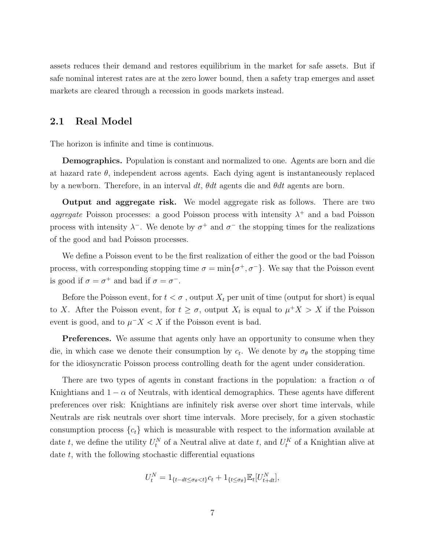assets reduces their demand and restores equilibrium in the market for safe assets. But if safe nominal interest rates are at the zero lower bound, then a safety trap emerges and asset markets are cleared through a recession in goods markets instead.

### 2.1 Real Model

The horizon is infinite and time is continuous.

Demographics. Population is constant and normalized to one. Agents are born and die at hazard rate  $\theta$ , independent across agents. Each dying agent is instantaneously replaced by a newborn. Therefore, in an interval dt,  $\theta dt$  agents die and  $\theta dt$  agents are born.

Output and aggregate risk. We model aggregate risk as follows. There are two aggregate Poisson processes: a good Poisson process with intensity  $\lambda^+$  and a bad Poisson process with intensity  $\lambda^-$ . We denote by  $\sigma^+$  and  $\sigma^-$  the stopping times for the realizations of the good and bad Poisson processes.

We define a Poisson event to be the first realization of either the good or the bad Poisson process, with corresponding stopping time  $\sigma = \min\{\sigma^+, \sigma^-\}$ . We say that the Poisson event is good if  $\sigma = \sigma^+$  and bad if  $\sigma = \sigma^-$ .

Before the Poisson event, for  $t < \sigma$ , output  $X_t$  per unit of time (output for short) is equal to X. After the Poisson event, for  $t \geq \sigma$ , output  $X_t$  is equal to  $\mu^+ X > X$  if the Poisson event is good, and to  $\mu$ <sup>-</sup> $X < X$  if the Poisson event is bad.

**Preferences.** We assume that agents only have an opportunity to consume when they die, in which case we denote their consumption by  $c_t$ . We denote by  $\sigma_{\theta}$  the stopping time for the idiosyncratic Poisson process controlling death for the agent under consideration.

There are two types of agents in constant fractions in the population: a fraction  $\alpha$  of Knightians and  $1 - \alpha$  of Neutrals, with identical demographics. These agents have different preferences over risk: Knightians are infinitely risk averse over short time intervals, while Neutrals are risk neutrals over short time intervals. More precisely, for a given stochastic consumption process  ${c_t}$  which is measurable with respect to the information available at date t, we define the utility  $U_t^N$  of a Neutral alive at date t, and  $U_t^K$  of a Knightian alive at date t, with the following stochastic differential equations

$$
U_t^N = 1_{\{t - dt \le \sigma_\theta < t\}} c_t + 1_{\{t \le \sigma_\theta\}} \mathbb{E}_t [U_{t + dt}^N],
$$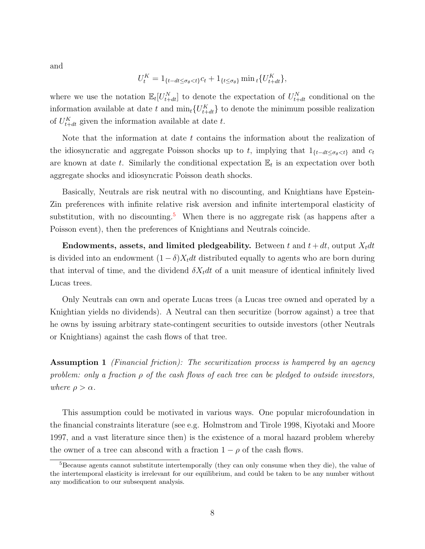and

$$
U_t^K = 1_{\{t - dt \le \sigma_\theta < t\}} c_t + 1_{\{t \le \sigma_\theta\}} \min_t \{ U_{t + dt}^K \},
$$

where we use the notation  $\mathbb{E}_t[U_{t+dt}^N]$  to denote the expectation of  $U_{t+dt}^N$  conditional on the information available at date t and  $\min_t \{U_{t+dt}^K\}$  to denote the minimum possible realization of  $U_{t+dt}^{K}$  given the information available at date t.

Note that the information at date  $t$  contains the information about the realization of the idiosyncratic and aggregate Poisson shocks up to t, implying that  $1_{\{t-dt\leq \sigma_\theta < t\}}$  and  $c_t$ are known at date t. Similarly the conditional expectation  $\mathbb{E}_t$  is an expectation over both aggregate shocks and idiosyncratic Poisson death shocks.

Basically, Neutrals are risk neutral with no discounting, and Knightians have Epstein-Zin preferences with infinite relative risk aversion and infinite intertemporal elasticity of substitution, with no discounting.<sup>[5](#page-7-0)</sup> When there is no aggregate risk (as happens after a Poisson event), then the preferences of Knightians and Neutrals coincide.

Endowments, assets, and limited pledgeability. Between t and  $t + dt$ , output  $X_t dt$ is divided into an endowment  $(1 - \delta)X_t dt$  distributed equally to agents who are born during that interval of time, and the dividend  $\delta X_t dt$  of a unit measure of identical infinitely lived Lucas trees.

Only Neutrals can own and operate Lucas trees (a Lucas tree owned and operated by a Knightian yields no dividends). A Neutral can then securitize (borrow against) a tree that he owns by issuing arbitrary state-contingent securities to outside investors (other Neutrals or Knightians) against the cash flows of that tree.

Assumption 1 *(Financial friction)*: The securitization process is hampered by an agency problem: only a fraction  $\rho$  of the cash flows of each tree can be pledged to outside investors, where  $\rho > \alpha$ .

This assumption could be motivated in various ways. One popular microfoundation in the financial constraints literature (see e.g. Holmstrom and Tirole 1998, Kiyotaki and Moore 1997, and a vast literature since then) is the existence of a moral hazard problem whereby the owner of a tree can abscond with a fraction  $1 - \rho$  of the cash flows.

<span id="page-7-0"></span><sup>&</sup>lt;sup>5</sup>Because agents cannot substitute intertemporally (they can only consume when they die), the value of the intertemporal elasticity is irrelevant for our equilibrium, and could be taken to be any number without any modification to our subsequent analysis.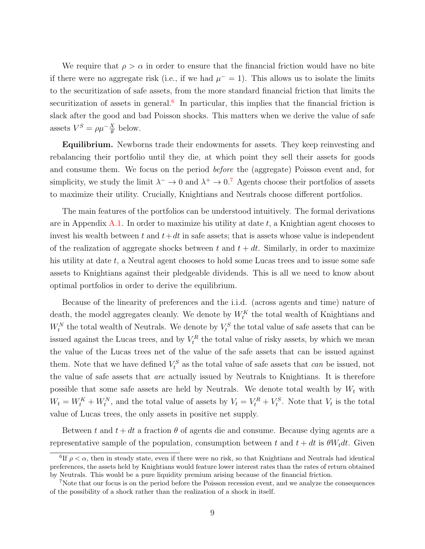We require that  $\rho > \alpha$  in order to ensure that the financial friction would have no bite if there were no aggregate risk (i.e., if we had  $\mu^- = 1$ ). This allows us to isolate the limits to the securitization of safe assets, from the more standard financial friction that limits the securitization of assets in general.<sup>[6](#page-8-0)</sup> In particular, this implies that the financial friction is slack after the good and bad Poisson shocks. This matters when we derive the value of safe assets  $V^S = \rho \mu^{-\frac{X}{\theta}}$  below.

Equilibrium. Newborns trade their endowments for assets. They keep reinvesting and rebalancing their portfolio until they die, at which point they sell their assets for goods and consume them. We focus on the period before the (aggregate) Poisson event and, for simplicity, we study the limit  $\lambda^- \to 0$  and  $\lambda^+ \to 0.7$  $\lambda^+ \to 0.7$  Agents choose their portfolios of assets to maximize their utility. Crucially, Knightians and Neutrals choose different portfolios.

The main features of the portfolios can be understood intuitively. The formal derivations are in Appendix [A.1.](#page-52-0) In order to maximize his utility at date  $t$ , a Knightian agent chooses to invest his wealth between t and  $t+dt$  in safe assets; that is assets whose value is independent of the realization of aggregate shocks between t and  $t + dt$ . Similarly, in order to maximize his utility at date  $t$ , a Neutral agent chooses to hold some Lucas trees and to issue some safe assets to Knightians against their pledgeable dividends. This is all we need to know about optimal portfolios in order to derive the equilibrium.

Because of the linearity of preferences and the i.i.d. (across agents and time) nature of death, the model aggregates cleanly. We denote by  $W_t^K$  the total wealth of Knightians and  $W_t^N$  the total wealth of Neutrals. We denote by  $V_t^S$  the total value of safe assets that can be issued against the Lucas trees, and by  $V_t^R$  the total value of risky assets, by which we mean the value of the Lucas trees net of the value of the safe assets that can be issued against them. Note that we have defined  $V_t^S$  as the total value of safe assets that *can* be issued, not the value of safe assets that are actually issued by Neutrals to Knightians. It is therefore possible that some safe assets are held by Neutrals. We denote total wealth by  $W_t$  with  $W_t = W_t^K + W_t^N$ , and the total value of assets by  $V_t = V_t^R + V_t^S$ . Note that  $V_t$  is the total value of Lucas trees, the only assets in positive net supply.

Between t and  $t + dt$  a fraction  $\theta$  of agents die and consume. Because dying agents are a representative sample of the population, consumption between t and  $t + dt$  is  $\theta W_t dt$ . Given

<span id="page-8-0"></span><sup>&</sup>lt;sup>6</sup>If  $\rho < \alpha$ , then in steady state, even if there were no risk, so that Knightians and Neutrals had identical preferences, the assets held by Knightians would feature lower interest rates than the rates of return obtained by Neutrals. This would be a pure liquidity premium arising because of the financial friction.

<span id="page-8-1"></span><sup>7</sup>Note that our focus is on the period before the Poisson recession event, and we analyze the consequences of the possibility of a shock rather than the realization of a shock in itself.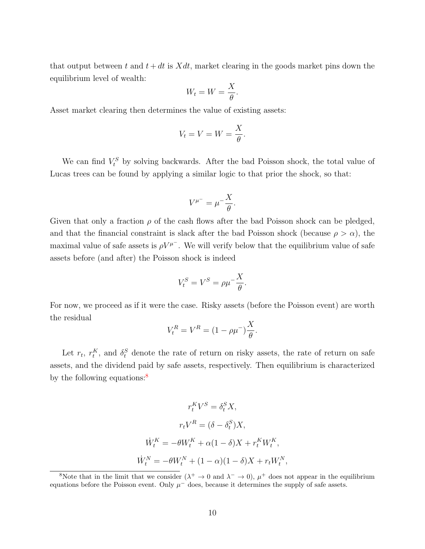that output between t and  $t + dt$  is  $Xdt$ , market clearing in the goods market pins down the equilibrium level of wealth:

$$
W_t = W = \frac{X}{\theta}.
$$

Asset market clearing then determines the value of existing assets:

$$
V_t = V = W = \frac{X}{\theta}.
$$

We can find  $V_t^S$  by solving backwards. After the bad Poisson shock, the total value of Lucas trees can be found by applying a similar logic to that prior the shock, so that:

$$
V^{\mu^-} = \mu^- \frac{X}{\theta}.
$$

Given that only a fraction  $\rho$  of the cash flows after the bad Poisson shock can be pledged, and that the financial constraint is slack after the bad Poisson shock (because  $\rho > \alpha$ ), the maximal value of safe assets is  $\rho V^{\mu^-}$ . We will verify below that the equilibrium value of safe assets before (and after) the Poisson shock is indeed

$$
V_t^S = V^S = \rho \mu^{-\frac{X}{\theta}}.
$$

For now, we proceed as if it were the case. Risky assets (before the Poisson event) are worth the residual

$$
V_t^R = V^R = (1 - \rho \mu^{-})\frac{X}{\theta}.
$$

Let  $r_t$ ,  $r_t^K$ , and  $\delta_t^S$  denote the rate of return on risky assets, the rate of return on safe assets, and the dividend paid by safe assets, respectively. Then equilibrium is characterized by the following equations: $\frac{8}{3}$  $\frac{8}{3}$  $\frac{8}{3}$ 

$$
r_t^K V^S = \delta_t^S X,
$$
  
\n
$$
r_t V^R = (\delta - \delta_t^S) X,
$$
  
\n
$$
\dot{W}_t^K = -\theta W_t^K + \alpha (1 - \delta) X + r_t^K W_t^K,
$$
  
\n
$$
\dot{W}_t^N = -\theta W_t^N + (1 - \alpha)(1 - \delta) X + r_t W_t^N
$$

,

<span id="page-9-0"></span><sup>&</sup>lt;sup>8</sup>Note that in the limit that we consider  $(\lambda^+ \to 0$  and  $\lambda^- \to 0)$ ,  $\mu^+$  does not appear in the equilibrium equations before the Poisson event. Only  $\mu^-$  does, because it determines the supply of safe assets.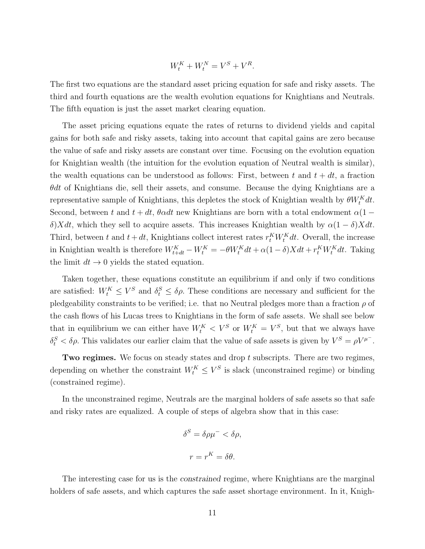$$
W_t^K + W_t^N = V^S + V^R.
$$

The first two equations are the standard asset pricing equation for safe and risky assets. The third and fourth equations are the wealth evolution equations for Knightians and Neutrals. The fifth equation is just the asset market clearing equation.

The asset pricing equations equate the rates of returns to dividend yields and capital gains for both safe and risky assets, taking into account that capital gains are zero because the value of safe and risky assets are constant over time. Focusing on the evolution equation for Knightian wealth (the intuition for the evolution equation of Neutral wealth is similar), the wealth equations can be understood as follows: First, between t and  $t + dt$ , a fraction  $\theta dt$  of Knightians die, sell their assets, and consume. Because the dying Knightians are a representative sample of Knightians, this depletes the stock of Knightian wealth by  $\theta W_t^K dt$ . Second, between t and  $t + dt$ ,  $\theta \alpha dt$  new Knightians are born with a total endowment  $\alpha(1$ δ)Xdt, which they sell to acquire assets. This increases Knightian wealth by  $\alpha(1-\delta)Xdt$ . Third, between t and  $t + dt$ , Knightians collect interest rates  $r_t^K W_t^K dt$ . Overall, the increase in Knightian wealth is therefore  $W_{t+dt}^K - W_t^K = -\theta W_t^K dt + \alpha (1-\delta)X dt + r_t^K W_t^K dt$ . Taking the limit  $dt \rightarrow 0$  yields the stated equation.

Taken together, these equations constitute an equilibrium if and only if two conditions are satisfied:  $W_t^K \leq V^S$  and  $\delta_t^S \leq \delta \rho$ . These conditions are necessary and sufficient for the pledgeability constraints to be verified; i.e. that no Neutral pledges more than a fraction  $\rho$  of the cash flows of his Lucas trees to Knightians in the form of safe assets. We shall see below that in equilibrium we can either have  $W_t^K < V^S$  or  $W_t^K = V^S$ , but that we always have  $\delta_t^S < \delta \rho$ . This validates our earlier claim that the value of safe assets is given by  $V^S = \rho V^{\mu^-}$ .

Two regimes. We focus on steady states and drop t subscripts. There are two regimes, depending on whether the constraint  $W_t^K \leq V^S$  is slack (unconstrained regime) or binding (constrained regime).

In the unconstrained regime, Neutrals are the marginal holders of safe assets so that safe and risky rates are equalized. A couple of steps of algebra show that in this case:

$$
\delta^S = \delta \rho \mu^- < \delta \rho,
$$
\n
$$
r = r^K = \delta \theta.
$$

The interesting case for us is the constrained regime, where Knightians are the marginal holders of safe assets, and which captures the safe asset shortage environment. In it, Knigh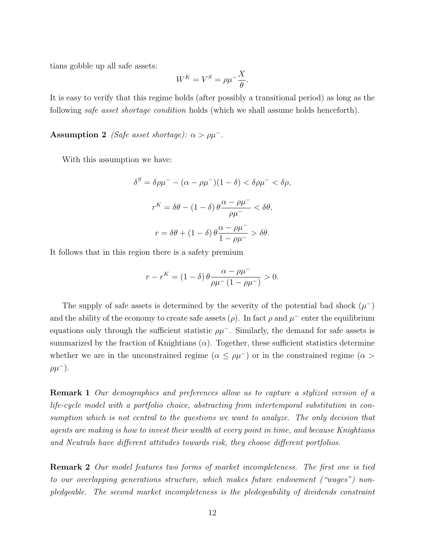tians gobble up all safe assets:

$$
W^K = V^S = \rho \mu^{-\frac{X}{\theta}}.
$$

It is easy to verify that this regime holds (after possibly a transitional period) as long as the following safe asset shortage condition holds (which we shall assume holds henceforth).

**Assumption 2** (Safe asset shortage):  $\alpha > \rho \mu^{-}$ .

With this assumption we have:

$$
\delta^{S} = \delta \rho \mu^{-} - (\alpha - \rho \mu^{-})(1 - \delta) < \delta \rho \mu^{-} < \delta \rho,
$$
\n
$$
r^{K} = \delta \theta - (1 - \delta) \theta \frac{\alpha - \rho \mu^{-}}{\rho \mu^{-}} < \delta \theta,
$$
\n
$$
r = \delta \theta + (1 - \delta) \theta \frac{\alpha - \rho \mu^{-}}{1 - \rho \mu^{-}} > \delta \theta.
$$

It follows that in this region there is a safety premium

$$
r - r^{K} = (1 - \delta) \theta \frac{\alpha - \rho \mu^{-}}{\rho \mu^{-} (1 - \rho \mu^{-})} > 0.
$$

The supply of safe assets is determined by the severity of the potential bad shock  $(\mu^-)$ and the ability of the economy to create safe assets  $(\rho)$ . In fact  $\rho$  and  $\mu^-$  enter the equilibrium equations only through the sufficient statistic  $\rho \mu^-$ . Similarly, the demand for safe assets is summarized by the fraction of Knightians  $(\alpha)$ . Together, these sufficient statistics determine whether we are in the unconstrained regime ( $\alpha \le \rho \mu^-$ ) or in the constrained regime ( $\alpha$ )  $\rho\mu^-$ ).

Remark 1 Our demographics and preferences allow us to capture a stylized version of a life-cycle model with a portfolio choice, abstracting from intertemporal substitution in consumption which is not central to the questions we want to analyze. The only decision that agents are making is how to invest their wealth at every point in time, and because Knightians and Neutrals have different attitudes towards risk, they choose different portfolios.

Remark 2 Our model features two forms of market incompleteness. The first one is tied to our overlapping generations structure, which makes future endowment ("wages") nonpledgeable. The second market incompleteness is the pledegeability of dividends constraint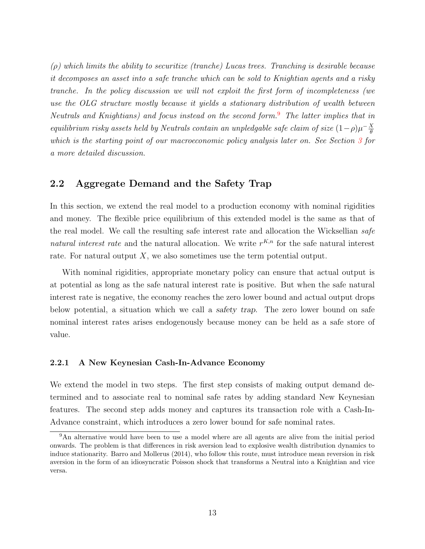$(\rho)$  which limits the ability to securitize (tranche) Lucas trees. Tranching is desirable because it decomposes an asset into a safe tranche which can be sold to Knightian agents and a risky tranche. In the policy discussion we will not exploit the first form of incompleteness (we use the OLG structure mostly because it yields a stationary distribution of wealth between Neutrals and Knightians) and focus instead on the second form.<sup>[9](#page-12-0)</sup> The latter implies that in equilibrium risky assets held by Neutrals contain an unpledgable safe claim of size  $(1-\rho)\mu^{-\frac{X}{\theta}}$ θ which is the starting point of our macroeconomic policy analysis later on. See Section [3](#page-19-0) for a more detailed discussion.

### 2.2 Aggregate Demand and the Safety Trap

In this section, we extend the real model to a production economy with nominal rigidities and money. The flexible price equilibrium of this extended model is the same as that of the real model. We call the resulting safe interest rate and allocation the Wicksellian safe natural interest rate and the natural allocation. We write  $r^{K,n}$  for the safe natural interest rate. For natural output  $X$ , we also sometimes use the term potential output.

With nominal rigidities, appropriate monetary policy can ensure that actual output is at potential as long as the safe natural interest rate is positive. But when the safe natural interest rate is negative, the economy reaches the zero lower bound and actual output drops below potential, a situation which we call a safety trap. The zero lower bound on safe nominal interest rates arises endogenously because money can be held as a safe store of value.

#### 2.2.1 A New Keynesian Cash-In-Advance Economy

We extend the model in two steps. The first step consists of making output demand determined and to associate real to nominal safe rates by adding standard New Keynesian features. The second step adds money and captures its transaction role with a Cash-In-Advance constraint, which introduces a zero lower bound for safe nominal rates.

<span id="page-12-0"></span><sup>&</sup>lt;sup>9</sup>An alternative would have been to use a model where are all agents are alive from the initial period onwards. The problem is that differences in risk aversion lead to explosive wealth distribution dynamics to induce stationarity. Barro and Mollerus (2014), who follow this route, must introduce mean reversion in risk aversion in the form of an idiosyncratic Poisson shock that transforms a Neutral into a Knightian and vice versa.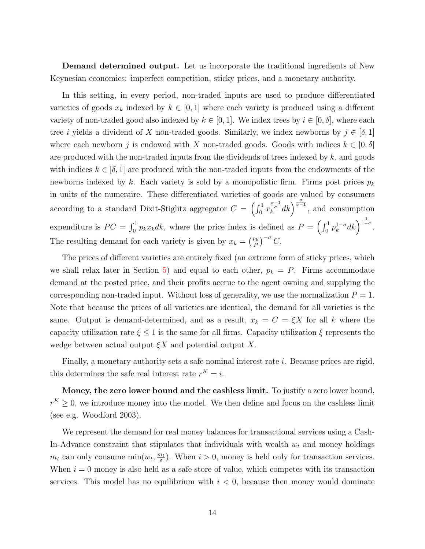Demand determined output. Let us incorporate the traditional ingredients of New Keynesian economics: imperfect competition, sticky prices, and a monetary authority.

In this setting, in every period, non-traded inputs are used to produce differentiated varieties of goods  $x_k$  indexed by  $k \in [0,1]$  where each variety is produced using a different variety of non-traded good also indexed by  $k \in [0, 1]$ . We index trees by  $i \in [0, \delta]$ , where each tree *i* yields a dividend of X non-traded goods. Similarly, we index newborns by  $j \in [\delta, 1]$ where each newborn j is endowed with X non-traded goods. Goods with indices  $k \in [0, \delta]$ are produced with the non-traded inputs from the dividends of trees indexed by  $k$ , and goods with indices  $k \in [\delta, 1]$  are produced with the non-traded inputs from the endowments of the newborns indexed by k. Each variety is sold by a monopolistic firm. Firms post prices  $p_k$ in units of the numeraire. These differentiated varieties of goods are valued by consumers according to a standard Dixit-Stiglitz aggregator  $C = \left(\int_0^1 x_k^{\frac{\sigma-1}{\sigma}} dk\right)^{\frac{\sigma}{\sigma-1}}$ , and consumption expenditure is  $PC = \int_0^1 p_k x_k dk$ , where the price index is defined as  $P = \left(\int_0^1 p_k^{1-\sigma} e^{-\frac{1}{2} f(x_k - \sigma)}\right)$  $\int_{k}^{1-\sigma} dk \bigg)^{\frac{1}{1-\sigma}}.$ The resulting demand for each variety is given by  $x_k = \left(\frac{p_k}{p}\right)^k$  $\frac{p_k}{P}$  $\Big)^{-\sigma}$  C.

The prices of different varieties are entirely fixed (an extreme form of sticky prices, which we shall relax later in Section [5\)](#page-29-0) and equal to each other,  $p_k = P$ . Firms accommodate demand at the posted price, and their profits accrue to the agent owning and supplying the corresponding non-traded input. Without loss of generality, we use the normalization  $P = 1$ . Note that because the prices of all varieties are identical, the demand for all varieties is the same. Output is demand-determined, and as a result,  $x_k = C = \xi X$  for all k where the capacity utilization rate  $\xi \leq 1$  is the same for all firms. Capacity utilization  $\xi$  represents the wedge between actual output  $\xi X$  and potential output X.

Finally, a monetary authority sets a safe nominal interest rate *i*. Because prices are rigid, this determines the safe real interest rate  $r^K = i$ .

Money, the zero lower bound and the cashless limit. To justify a zero lower bound,  $r<sup>K</sup> \geq 0$ , we introduce money into the model. We then define and focus on the cashless limit (see e.g. Woodford 2003).

We represent the demand for real money balances for transactional services using a Cash-In-Advance constraint that stipulates that individuals with wealth  $w_t$  and money holdings  $m_t$  can only consume  $\min(w_t, \frac{m_t}{\varepsilon})$  $\frac{n_t}{\varepsilon}$ ). When  $i > 0$ , money is held only for transaction services. When  $i = 0$  money is also held as a safe store of value, which competes with its transaction services. This model has no equilibrium with  $i < 0$ , because then money would dominate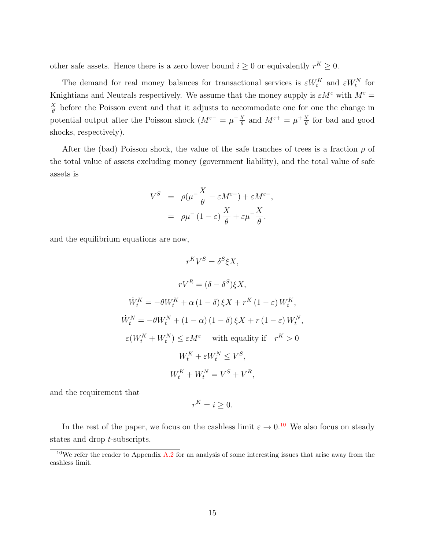other safe assets. Hence there is a zero lower bound  $i \geq 0$  or equivalently  $r^K \geq 0$ .

The demand for real money balances for transactional services is  $\varepsilon W_t^K$  and  $\varepsilon W_t^N$  for Knightians and Neutrals respectively. We assume that the money supply is  $\varepsilon M^{\varepsilon}$  with  $M^{\varepsilon}$  =  $\overline{X}$  $\frac{\lambda}{\theta}$  before the Poisson event and that it adjusts to accommodate one for one the change in potential output after the Poisson shock  $(M^{\varepsilon-} = \mu^{-X}$  $\frac{X}{\theta}$  and  $M^{\varepsilon+} = \mu^+ \frac{X}{\theta}$  $\frac{X}{\theta}$  for bad and good shocks, respectively).

After the (bad) Poisson shock, the value of the safe tranches of trees is a fraction  $\rho$  of the total value of assets excluding money (government liability), and the total value of safe assets is

$$
V^{S} = \rho(\mu^{-\frac{X}{\theta}} - \varepsilon M^{\varepsilon}) + \varepsilon M^{\varepsilon},
$$
  
=  $\rho\mu^{-}(1-\varepsilon)\frac{X}{\theta} + \varepsilon\mu^{-\frac{X}{\theta}}.$ 

and the equilibrium equations are now,

$$
r^K V^S = \delta^S \xi X,
$$
  
\n
$$
rV^R = (\delta - \delta^S) \xi X,
$$
  
\n
$$
\dot{W}_t^K = -\theta W_t^K + \alpha (1 - \delta) \xi X + r^K (1 - \varepsilon) W_t^K,
$$
  
\n
$$
\dot{W}_t^N = -\theta W_t^N + (1 - \alpha) (1 - \delta) \xi X + r (1 - \varepsilon) W_t^N,
$$
  
\n
$$
\varepsilon (W_t^K + W_t^N) \le \varepsilon M^\varepsilon \quad \text{with equality if} \quad r^K > 0
$$
  
\n
$$
W_t^K + \varepsilon W_t^N \le V^S,
$$
  
\n
$$
W_t^K + W_t^N = V^S + V^R,
$$

and the requirement that

$$
r^K = i \geq 0.
$$

In the rest of the paper, we focus on the cashless limit  $\varepsilon \to 0.10$  $\varepsilon \to 0.10$  We also focus on steady states and drop t-subscripts.

<span id="page-14-0"></span><sup>&</sup>lt;sup>10</sup>We refer the reader to Appendix  $\overline{A}$ . *A* for an analysis of some interesting issues that arise away from the cashless limit.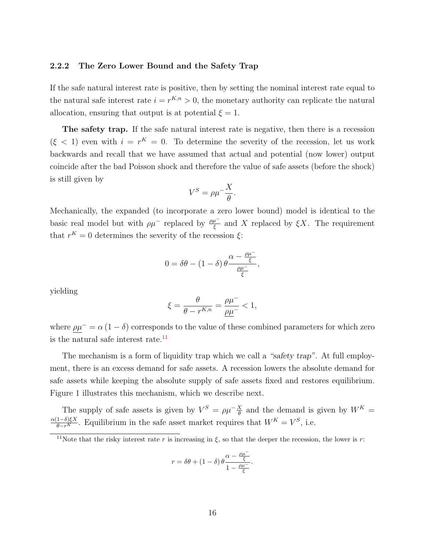#### 2.2.2 The Zero Lower Bound and the Safety Trap

If the safe natural interest rate is positive, then by setting the nominal interest rate equal to the natural safe interest rate  $i = r^{K,n} > 0$ , the monetary authority can replicate the natural allocation, ensuring that output is at potential  $\xi = 1$ .

The safety trap. If the safe natural interest rate is negative, then there is a recession  $(\xi < 1)$  even with  $i = r^{K} = 0$ . To determine the severity of the recession, let us work backwards and recall that we have assumed that actual and potential (now lower) output coincide after the bad Poisson shock and therefore the value of safe assets (before the shock) is still given by

$$
V^S = \rho \mu^{-\frac{X}{\theta}}.
$$

Mechanically, the expanded (to incorporate a zero lower bound) model is identical to the basic real model but with  $\rho\mu^-$  replaced by  $\frac{\rho\mu^-}{\xi}$  and X replaced by  $\xi X$ . The requirement that  $r^K = 0$  determines the severity of the recession  $\xi$ :

$$
0 = \delta\theta - (1 - \delta) \theta \frac{\alpha - \frac{\rho\mu^{-}}{\xi}}{\frac{\rho\mu^{-}}{\xi}},
$$

yielding

$$
\xi = \frac{\theta}{\theta - r^{K,n}} = \frac{\rho \mu^{-}}{\underline{\rho \mu^{-}}} < 1,
$$

where  $\rho \mu^-$  =  $\alpha (1 - \delta)$  corresponds to the value of these combined parameters for which zero is the natural safe interest rate. $11$ 

The mechanism is a form of liquidity trap which we call a "safety trap". At full employment, there is an excess demand for safe assets. A recession lowers the absolute demand for safe assets while keeping the absolute supply of safe assets fixed and restores equilibrium. Figure 1 illustrates this mechanism, which we describe next.

The supply of safe assets is given by  $V^S = \rho \mu^{-\frac{X}{\theta}}$  and the demand is given by  $W^K =$  $\frac{\alpha(1-\delta)\xi X}{\theta-r^K}$ . Equilibrium in the safe asset market requires that  $W^K = V^S$ , i.e.

$$
r = \delta\theta + (1 - \delta)\theta \frac{\alpha - \frac{\rho\mu^{-}}{\xi}}{1 - \frac{\rho\mu^{-}}{\xi}}.
$$

<span id="page-15-0"></span><sup>&</sup>lt;sup>11</sup>Note that the risky interest rate r is increasing in  $\xi$ , so that the deeper the recession, the lower is r: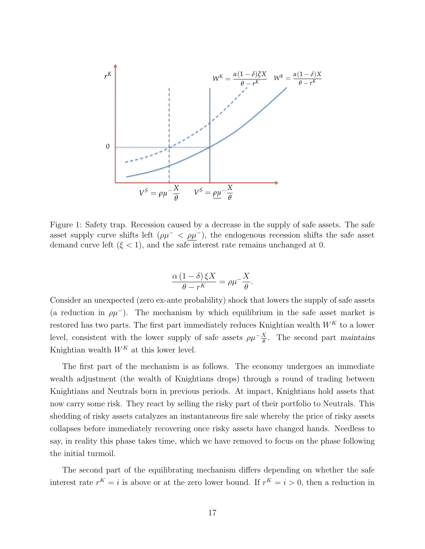

*q rK* demand curve left  $(\xi < 1)$ , and the safe interest rate remains unchanged at 0. asset supply curve shifts left  $(\rho \mu^- < \rho \mu^-)$ , the endogenous recession shifts the safe asset Figure 1: Safety trap. Recession caused by a decrease in the supply of safe assets. The safe

$$
\frac{\alpha (1-\delta)\,\xi X}{\theta - r^K} = \rho \mu^{-\frac{X}{\theta}}.
$$

Consider an unexpected (zero ex-ante probability) shock that lowers the supply of safe assets (a reduction in  $\rho\mu^-$ ). The mechanism by which equilibrium in the safe asset market is restored has two parts. The first part immediately reduces Knightian wealth  $W^K$  to a lower level, consistent with the lower supply of safe assets  $\rho \mu^{-\frac{X}{\theta}}$ . The second part maintains Knightian wealth  $W^K$  at this lower level.

1 1 collapses before immediately recovering once risky assets have changed hands. Needless to Knightians and Neutrals born in previous periods. At impact, Knightians hold assets that shedding of risky assets catalyzes an instantaneous fire sale whereby the price of risky assets The first part of the mechanism is as follows. The economy undergoes an immediate wealth adjustment (the wealth of Knightians drops) through a round of trading between now carry some risk. They react by selling the risky part of their portfolio to Neutrals. This say, in reality this phase takes time, which we have removed to focus on the phase following the initial turmoil.

The second part of the equilibrating mechanism differs depending on whether the safe interest rate  $r^K = i$  is above or at the zero lower bound. If  $r^K = i > 0$ , then a reduction in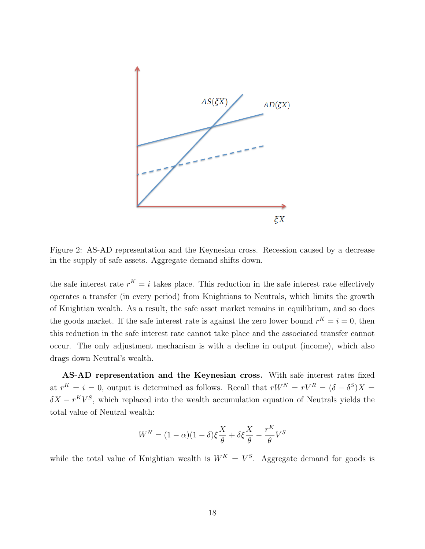

Figure 2: AS-AD representation and the Keynesian cross. Recession caused by a decrease in the supply of safe assets. Aggregate demand shifts down.

the safe interest rate  $r^K = i$  takes place. This reduction in the safe interest rate effectively operates a transfer (in every period) from Knightians to Neutrals, which limits the growth of Knightian wealth. As a result, the safe asset market remains in equilibrium, and so does the goods market. If the safe interest rate is against the zero lower bound  $r^K = i = 0$ , then this reduction in the safe interest rate cannot take place and the associated transfer cannot occur. The only adjustment mechanism is with a decline in output (income), which also drags down Neutral's wealth.

AS-AD representation and the Keynesian cross. With safe interest rates fixed at  $r^K = i = 0$ , output is determined as follows. Recall that  $rW^N = rV^R = (\delta - \delta^S)X =$  $\delta X - r^K V^S$ , which replaced into the wealth accumulation equation of Neutrals yields the total value of Neutral wealth:

$$
W^{N} = (1 - \alpha)(1 - \delta)\xi \frac{X}{\theta} + \delta\xi \frac{X}{\theta} - \frac{r^{K}}{\theta}V^{S}
$$

while the total value of Knightian wealth is  $W^K = V^S$ . Aggregate demand for goods is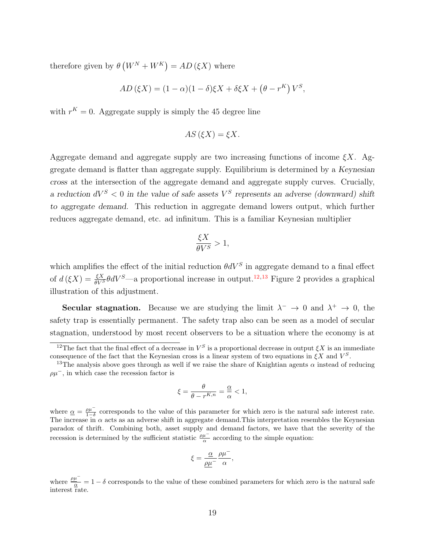therefore given by  $\theta (W^N + W^K) = AD(\xi X)$  where

$$
AD\left(\xi X\right) = (1 - \alpha)(1 - \delta)\xi X + \delta\xi X + \left(\theta - r^K\right)V^S,
$$

with  $r^{K} = 0$ . Aggregate supply is simply the 45 degree line

$$
AS\left(\xi X\right) = \xi X.
$$

Aggregate demand and aggregate supply are two increasing functions of income  $\xi X$ . Aggregate demand is flatter than aggregate supply. Equilibrium is determined by a Keynesian cross at the intersection of the aggregate demand and aggregate supply curves. Crucially, a reduction  $dV^S < 0$  in the value of safe assets  $V^S$  represents an adverse (downward) shift to aggregate demand. This reduction in aggregate demand lowers output, which further reduces aggregate demand, etc. ad infinitum. This is a familiar Keynesian multiplier

$$
\frac{\xi X}{\theta V^S} > 1,
$$

which amplifies the effect of the initial reduction  $\theta dV^S$  in aggregate demand to a final effect of  $d(\xi X) = \frac{\xi X}{\theta V^S} dV^S$ —a proportional increase in output.<sup>[12](#page-18-0),[13](#page-18-1)</sup> Figure 2 provides a graphical illustration of this adjustment.

**Secular stagnation.** Because we are studying the limit  $\lambda^- \to 0$  and  $\lambda^+ \to 0$ , the safety trap is essentially permanent. The safety trap also can be seen as a model of secular stagnation, understood by most recent observers to be a situation where the economy is at

$$
\xi = \frac{\theta}{\theta - r^{K,n}} = \frac{\alpha}{\alpha} < 1,
$$

where  $\underline{\alpha} = \frac{\rho \mu^-}{1-\delta}$  corresponds to the value of this parameter for which zero is the natural safe interest rate. The increase in  $\alpha$  acts as an adverse shift in aggregate demand. This interpretation resembles the Keynesian paradox of thrift. Combining both, asset supply and demand factors, we have that the severity of the recession is determined by the sufficient statistic  $\frac{\rho \mu^-}{\alpha}$  according to the simple equation:

$$
\xi = \frac{\underline{\alpha}}{\underline{\rho}\underline{\mu}^-} \frac{\rho\mu^-}{\alpha},
$$

where  $\frac{\rho\mu^-}{\alpha} = 1 - \delta$  corresponds to the value of these combined parameters for which zero is the natural safe interest rate.

<span id="page-18-0"></span><sup>&</sup>lt;sup>12</sup>The fact that the final effect of a decrease in  $V^S$  is a proportional decrease in output  $\xi X$  is an immediate consequence of the fact that the Keynesian cross is a linear system of two equations in  $\xi X$  and  $V^S$ .

<span id="page-18-1"></span><sup>&</sup>lt;sup>13</sup>The analysis above goes through as well if we raise the share of Knightian agents  $\alpha$  instead of reducing  $\rho\mu^-$ , in which case the recession factor is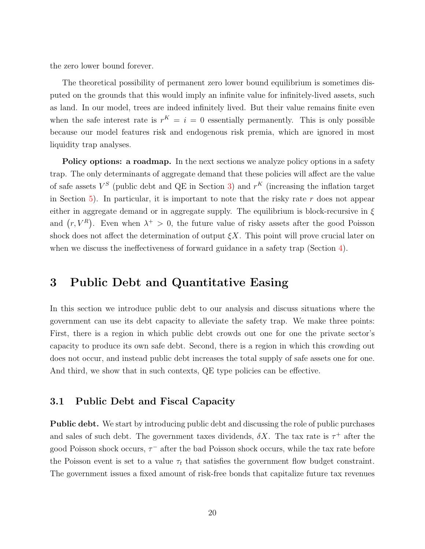the zero lower bound forever.

The theoretical possibility of permanent zero lower bound equilibrium is sometimes disputed on the grounds that this would imply an infinite value for infinitely-lived assets, such as land. In our model, trees are indeed infinitely lived. But their value remains finite even when the safe interest rate is  $r^{K} = i = 0$  essentially permanently. This is only possible because our model features risk and endogenous risk premia, which are ignored in most liquidity trap analyses.

**Policy options: a roadmap.** In the next sections we analyze policy options in a safety trap. The only determinants of aggregate demand that these policies will affect are the value of safe assets  $V^S$  (public debt and QE in Section [3\)](#page-19-0) and  $r^K$  (increasing the inflation target in Section [5\)](#page-29-0). In particular, it is important to note that the risky rate r does not appear either in aggregate demand or in aggregate supply. The equilibrium is block-recursive in  $\xi$ and  $(r, V^R)$ . Even when  $\lambda^+ > 0$ , the future value of risky assets after the good Poisson shock does not affect the determination of output  $\xi X$ . This point will prove crucial later on when we discuss the ineffectiveness of forward guidance in a safety trap (Section [4\)](#page-25-0).

## <span id="page-19-0"></span>3 Public Debt and Quantitative Easing

In this section we introduce public debt to our analysis and discuss situations where the government can use its debt capacity to alleviate the safety trap. We make three points: First, there is a region in which public debt crowds out one for one the private sector's capacity to produce its own safe debt. Second, there is a region in which this crowding out does not occur, and instead public debt increases the total supply of safe assets one for one. And third, we show that in such contexts, QE type policies can be effective.

### 3.1 Public Debt and Fiscal Capacity

Public debt. We start by introducing public debt and discussing the role of public purchases and sales of such debt. The government taxes dividends,  $\delta X$ . The tax rate is  $\tau^+$  after the good Poisson shock occurs,  $\tau^-$  after the bad Poisson shock occurs, while the tax rate before the Poisson event is set to a value  $\tau_t$  that satisfies the government flow budget constraint. The government issues a fixed amount of risk-free bonds that capitalize future tax revenues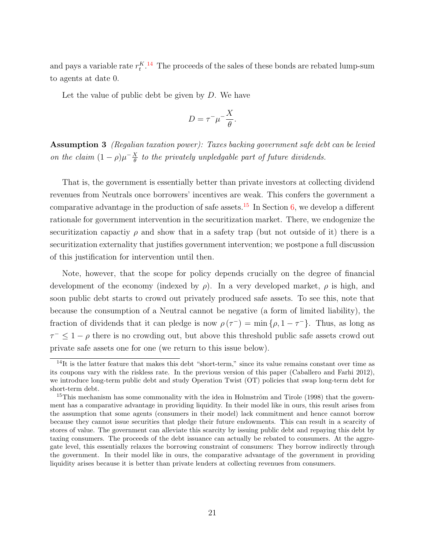and pays a variable rate  $r_t^{K}$ .<sup>[14](#page-20-0)</sup> The proceeds of the sales of these bonds are rebated lump-sum to agents at date 0.

Let the value of public debt be given by  $D$ . We have

$$
D = \tau^{-} \mu^{-} \frac{X}{\theta}.
$$

Assumption 3 (Regalian taxation power): Taxes backing government safe debt can be levied on the claim  $(1 - \rho)\mu^{-\frac{X}{\theta}}$  $\frac{\chi}{\theta}$  to the privately unpledgable part of future dividends.

That is, the government is essentially better than private investors at collecting dividend revenues from Neutrals once borrowers' incentives are weak. This confers the government a comparative advantage in the production of safe assets.<sup>[15](#page-20-1)</sup> In Section [6,](#page-34-0) we develop a different rationale for government intervention in the securitization market. There, we endogenize the securitization capactive  $\rho$  and show that in a safety trap (but not outside of it) there is a securitization externality that justifies government intervention; we postpone a full discussion of this justification for intervention until then.

Note, however, that the scope for policy depends crucially on the degree of financial development of the economy (indexed by  $\rho$ ). In a very developed market,  $\rho$  is high, and soon public debt starts to crowd out privately produced safe assets. To see this, note that because the consumption of a Neutral cannot be negative (a form of limited liability), the fraction of dividends that it can pledge is now  $\rho(\tau^-) = \min\{\rho, 1 - \tau^-\}$ . Thus, as long as  $\tau^{-} \leq 1 - \rho$  there is no crowding out, but above this threshold public safe assets crowd out private safe assets one for one (we return to this issue below).

<span id="page-20-0"></span> $14$ It is the latter feature that makes this debt "short-term," since its value remains constant over time as its coupons vary with the riskless rate. In the previous version of this paper (Caballero and Farhi 2012), we introduce long-term public debt and study Operation Twist (OT) policies that swap long-term debt for short-term debt.

<span id="page-20-1"></span> $15$ This mechanism has some commonality with the idea in Holmström and Tirole (1998) that the government has a comparative advantage in providing liquidity. In their model like in ours, this result arises from the assumption that some agents (consumers in their model) lack commitment and hence cannot borrow because they cannot issue securities that pledge their future endowments. This can result in a scarcity of stores of value. The government can alleviate this scarcity by issuing public debt and repaying this debt by taxing consumers. The proceeds of the debt issuance can actually be rebated to consumers. At the aggregate level, this essentially relaxes the borrowing constraint of consumers: They borrow indirectly through the government. In their model like in ours, the comparative advantage of the government in providing liquidity arises because it is better than private lenders at collecting revenues from consumers.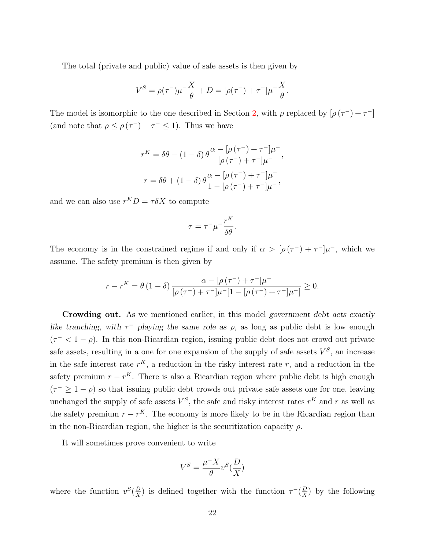The total (private and public) value of safe assets is then given by

$$
V^{S} = \rho(\tau^{-})\mu^{-}\frac{X}{\theta} + D = [\rho(\tau^{-}) + \tau^{-}]\mu^{-}\frac{X}{\theta}.
$$

The model is isomorphic to the one described in Section [2,](#page-5-0) with  $\rho$  replaced by  $[\rho(\tau^-)+\tau^-]$ (and note that  $\rho \leq \rho(\tau^-) + \tau^- \leq 1$ ). Thus we have

$$
r^{K} = \delta\theta - (1 - \delta) \theta \frac{\alpha - [\rho(\tau^{-}) + \tau^{-}] \mu^{-}}{[\rho(\tau^{-}) + \tau^{-}] \mu^{-}},
$$

$$
r = \delta\theta + (1 - \delta) \theta \frac{\alpha - [\rho(\tau^{-}) + \tau^{-}] \mu^{-}}{1 - [\rho(\tau^{-}) + \tau^{-}] \mu^{-}},
$$

and we can also use  $r^K D = \tau \delta X$  to compute

$$
\tau = \tau^- \mu^- \frac{r^K}{\delta \theta}.
$$

The economy is in the constrained regime if and only if  $\alpha > [\rho(\tau^-) + \tau^-]\mu^-$ , which we assume. The safety premium is then given by

$$
r - r^{K} = \theta (1 - \delta) \frac{\alpha - [\rho(\tau^{-}) + \tau^{-}] \mu^{-}}{[\rho(\tau^{-}) + \tau^{-}] \mu^{-}[1 - [\rho(\tau^{-}) + \tau^{-}] \mu^{-}]} \ge 0.
$$

Crowding out. As we mentioned earlier, in this model government debt acts exactly like tranching, with  $\tau^-$  playing the same role as  $\rho$ , as long as public debt is low enough  $(\tau \leq 1 - \rho)$ . In this non-Ricardian region, issuing public debt does not crowd out private safe assets, resulting in a one for one expansion of the supply of safe assets  $V^S$ , an increase in the safe interest rate  $r<sup>K</sup>$ , a reduction in the risky interest rate r, and a reduction in the safety premium  $r - r<sup>K</sup>$ . There is also a Ricardian region where public debt is high enough  $(\tau^{-} \geq 1 - \rho)$  so that issuing public debt crowds out private safe assets one for one, leaving unchanged the supply of safe assets  $V^S$ , the safe and risky interest rates  $r^K$  and r as well as the safety premium  $r - r<sup>K</sup>$ . The economy is more likely to be in the Ricardian region than in the non-Ricardian region, the higher is the securitization capacity  $\rho$ .

It will sometimes prove convenient to write

$$
V^S=\frac{\mu^-X}{\theta}v^S(\frac{D}{X})
$$

where the function  $v^S(\frac{D}{X})$  $\frac{D}{X}$ ) is defined together with the function  $\tau^{-}(\frac{D}{X})$  $\frac{D}{X}$ ) by the following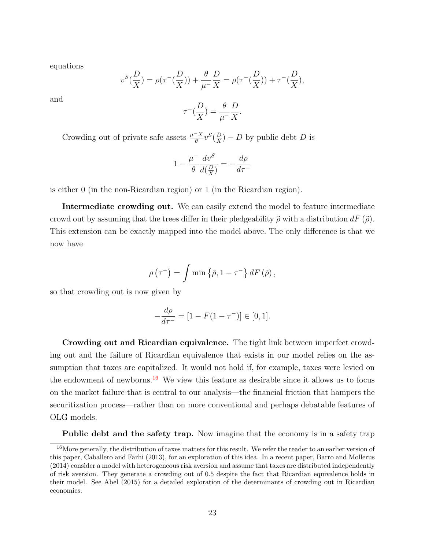equations

$$
v^{S}(\frac{D}{X}) = \rho(\tau^{-}(\frac{D}{X})) + \frac{\theta}{\mu^{-}}\frac{D}{X} = \rho(\tau^{-}(\frac{D}{X})) + \tau^{-}(\frac{D}{X}),
$$

and

$$
\tau^{-}\left(\frac{D}{X}\right) = \frac{\theta}{\mu^{-}} \frac{D}{X}.
$$

Crowding out of private safe assets  $\frac{\mu^- X}{\theta} v^S(\frac{D}{X})$  $\frac{D}{X}$ ) – D by public debt D is

$$
1 - \frac{\mu^{-}}{\theta} \frac{dv^{S}}{d(\frac{D}{X})} = -\frac{d\rho}{d\tau^{-}}
$$

is either 0 (in the non-Ricardian region) or 1 (in the Ricardian region).

Intermediate crowding out. We can easily extend the model to feature intermediate crowd out by assuming that the trees differ in their pledgeability  $\tilde{\rho}$  with a distribution  $dF(\tilde{\rho})$ . This extension can be exactly mapped into the model above. The only difference is that we now have

$$
\rho\left(\tau^{-}\right) = \int \min\left\{\tilde{\rho}, 1 - \tau^{-}\right\} dF\left(\tilde{\rho}\right),\,
$$

so that crowding out is now given by

$$
-\frac{d\rho}{d\tau^{-}} = [1 - F(1 - \tau^{-})] \in [0, 1].
$$

Crowding out and Ricardian equivalence. The tight link between imperfect crowding out and the failure of Ricardian equivalence that exists in our model relies on the assumption that taxes are capitalized. It would not hold if, for example, taxes were levied on the endowment of newborns.<sup>[16](#page-22-0)</sup> We view this feature as desirable since it allows us to focus on the market failure that is central to our analysis—the financial friction that hampers the securitization process—rather than on more conventional and perhaps debatable features of OLG models.

<span id="page-22-0"></span>Public debt and the safety trap. Now imagine that the economy is in a safety trap

<sup>16</sup>More generally, the distribution of taxes matters for this result. We refer the reader to an earlier version of this paper, Caballero and Farhi (2013), for an exploration of this idea. In a recent paper, Barro and Mollerus (2014) consider a model with heterogeneous risk aversion and assume that taxes are distributed independently of risk aversion. They generate a crowding out of 0.5 despite the fact that Ricardian equivalence holds in their model. See Abel (2015) for a detailed exploration of the determinants of crowding out in Ricardian economies.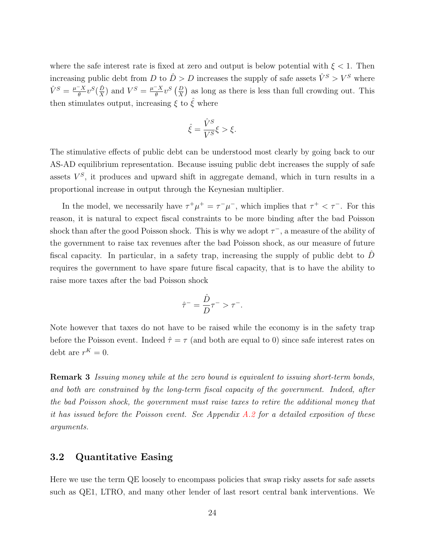where the safe interest rate is fixed at zero and output is below potential with  $\xi < 1$ . Then increasing public debt from D to  $\hat{D} > D$  increases the supply of safe assets  $\hat{V}^S > V^S$  where  $\hat{V}^{S} = \frac{\mu^{-} X}{\theta}$  $\frac{X}{\theta}v^{S}(\frac{\hat{D}}{X}% )^{2n-1}\left( \frac{\hat{D}}{V_{A}^{S}}\right) ^{S}$  $\frac{\hat{D}}{X}$ ) and  $V^S = \frac{\mu - X}{\theta}$  $\frac{X-X}{\theta}v^S\left(\frac{D}{X}\right)$  as long as there is less than full crowding out. This then stimulates output, increasing  $\xi$  to  $\tilde{\xi}$  where

$$
\hat{\xi} = \frac{\hat{V}^S}{V^S} \xi > \xi.
$$

The stimulative effects of public debt can be understood most clearly by going back to our AS-AD equilibrium representation. Because issuing public debt increases the supply of safe assets  $V^S$ , it produces and upward shift in aggregate demand, which in turn results in a proportional increase in output through the Keynesian multiplier.

In the model, we necessarily have  $\tau^+\mu^+ = \tau^-\mu^-$ , which implies that  $\tau^+ < \tau^-$ . For this reason, it is natural to expect fiscal constraints to be more binding after the bad Poisson shock than after the good Poisson shock. This is why we adopt  $\tau^-$ , a measure of the ability of the government to raise tax revenues after the bad Poisson shock, as our measure of future fiscal capacity. In particular, in a safety trap, increasing the supply of public debt to  $\hat{D}$ requires the government to have spare future fiscal capacity, that is to have the ability to raise more taxes after the bad Poisson shock

$$
\hat{\tau}^- = \frac{\hat{D}}{D} \tau^- > \tau^-.
$$

Note however that taxes do not have to be raised while the economy is in the safety trap before the Poisson event. Indeed  $\hat{\tau} = \tau$  (and both are equal to 0) since safe interest rates on debt are  $r^K = 0$ .

Remark 3 Issuing money while at the zero bound is equivalent to issuing short-term bonds, and both are constrained by the long-term fiscal capacity of the government. Indeed, after the bad Poisson shock, the government must raise taxes to retire the additional money that it has issued before the Poisson event. See Appendix  $A.2$  for a detailed exposition of these arguments.

### 3.2 Quantitative Easing

Here we use the term QE loosely to encompass policies that swap risky assets for safe assets such as QE1, LTRO, and many other lender of last resort central bank interventions. We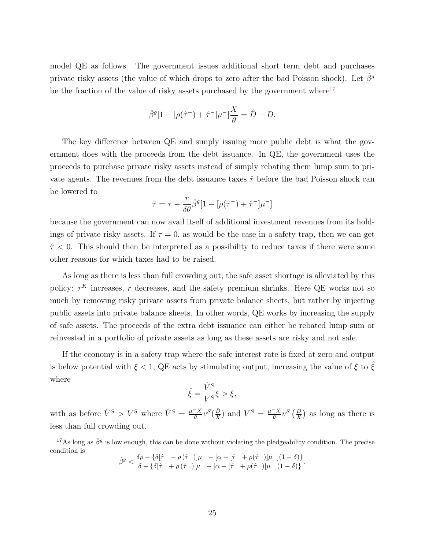model QE as follows. The government issues additional short term debt and purchases private risky assets (the value of which drops to zero after the bad Poisson shock). Let  $\beta^g$ be the fraction of the value of risky assets purchased by the government where $17$ 

$$
\hat{\beta}^{g}[1 - [\rho(\hat{\tau}^{-}) + \hat{\tau}^{-}]\mu^{-}] \frac{X}{\theta} = \hat{D} - D.
$$

The key difference between QE and simply issuing more public debt is what the government does with the proceeds from the debt issuance. In QE, the government uses the proceeds to purchase private risky assets instead of simply rebating them lump sum to private agents. The revenues from the debt issuance taxes  $\hat{\tau}$  before the bad Poisson shock can be lowered to

$$
\hat{\tau} = \tau - \frac{r}{\delta \theta} \hat{\beta}^g [1-[\rho(\hat{\tau}^-) + \hat{\tau}^-]\mu^-]
$$

because the government can now avail itself of additional investment revenues from its holdings of private risky assets. If  $\tau = 0$ , as would be the case in a safety trap, then we can get  $\hat{\tau}$  < 0. This should then be interpreted as a possibility to reduce taxes if there were some other reasons for which taxes had to be raised.

As long as there is less than full crowding out, the safe asset shortage is alleviated by this policy:  $r^{K}$  increases, r decreases, and the safety premium shrinks. Here QE works not so much by removing risky private assets from private balance sheets, but rather by injecting public assets into private balance sheets. In other words, QE works by increasing the supply of safe assets. The proceeds of the extra debt issuance can either be rebated lump sum or reinvested in a portfolio of private assets as long as these assets are risky and not safe.

If the economy is in a safety trap where the safe interest rate is fixed at zero and output is below potential with  $\xi < 1$ , QE acts by stimulating output, increasing the value of  $\xi$  to  $\xi$ where

$$
\hat{\xi} = \frac{\hat{V}^S}{V^S} \xi > \xi,
$$

with as before  $\hat{V}^S > V^S$  where  $\hat{V}^S = \frac{\mu - X}{\theta}$  $\frac{X}{\theta}v^{S}(\frac{\hat{D}}{X}% )^{2n-1}\left( \frac{\hat{D}}{V_{A}^{S}}\right) ^{S}$  $\frac{\hat{D}}{X}$ ) and  $V^S = \frac{\mu - X}{\theta}$  $\frac{d}{d\theta}x^S\left(\frac{D}{X}\right)$  as long as there is less than full crowding out.

$$
\hat{\beta}^g < \frac{\delta \rho - \{\delta[\hat{\tau}^- + \rho(\hat{\tau}^-)]\mu^- - [\alpha - [\hat{\tau}^- + \rho(\hat{\tau}^-)]\mu^-](1 - \delta)\}}{\delta - \{\delta[\hat{\tau}^- + \rho(\hat{\tau}^-)]\mu^- - [\alpha - [\hat{\tau}^- + \rho(\hat{\tau}^-)]\mu^-](1 - \delta)\}}.
$$

<span id="page-24-0"></span><sup>&</sup>lt;sup>17</sup>As long as  $\hat{\beta}^g$  is low enough, this can be done without violating the pledgeability condition. The precise condition is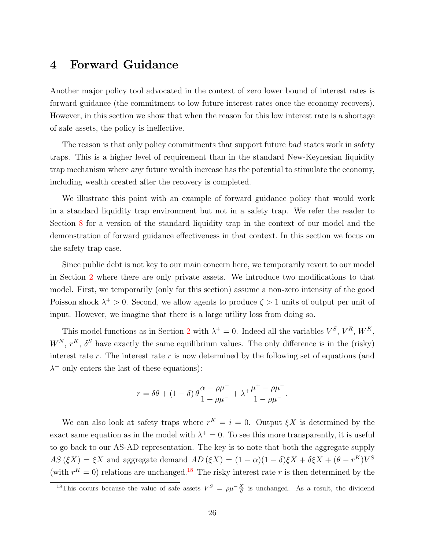## <span id="page-25-0"></span>4 Forward Guidance

Another major policy tool advocated in the context of zero lower bound of interest rates is forward guidance (the commitment to low future interest rates once the economy recovers). However, in this section we show that when the reason for this low interest rate is a shortage of safe assets, the policy is ineffective.

The reason is that only policy commitments that support future bad states work in safety traps. This is a higher level of requirement than in the standard New-Keynesian liquidity trap mechanism where any future wealth increase has the potential to stimulate the economy, including wealth created after the recovery is completed.

We illustrate this point with an example of forward guidance policy that would work in a standard liquidity trap environment but not in a safety trap. We refer the reader to Section [8](#page-43-0) for a version of the standard liquidity trap in the context of our model and the demonstration of forward guidance effectiveness in that context. In this section we focus on the safety trap case.

Since public debt is not key to our main concern here, we temporarily revert to our model in Section [2](#page-5-0) where there are only private assets. We introduce two modifications to that model. First, we temporarily (only for this section) assume a non-zero intensity of the good Poisson shock  $\lambda^+ > 0$ . Second, we allow agents to produce  $\zeta > 1$  units of output per unit of input. However, we imagine that there is a large utility loss from doing so.

This model functions as in Section [2](#page-5-0) with  $\lambda^+ = 0$ . Indeed all the variables  $V^S$ ,  $V^R$ ,  $W^K$ ,  $W^N$ ,  $r^K$ ,  $\delta^S$  have exactly the same equilibrium values. The only difference is in the (risky) interest rate r. The interest rate r is now determined by the following set of equations (and  $\lambda^+$  only enters the last of these equations):

$$
r = \delta\theta + (1 - \delta)\theta \frac{\alpha - \rho\mu^{-}}{1 - \rho\mu^{-}} + \lambda^{+}\frac{\mu^{+} - \rho\mu^{-}}{1 - \rho\mu^{-}}.
$$

We can also look at safety traps where  $r^{K} = i = 0$ . Output  $\xi X$  is determined by the exact same equation as in the model with  $\lambda^+ = 0$ . To see this more transparently, it is useful to go back to our AS-AD representation. The key is to note that both the aggregate supply  $AS (\xi X) = \xi X$  and aggregate demand  $AD (\xi X) = (1 - \alpha)(1 - \delta)\xi X + \delta \xi X + (\theta - r^K)V^S$ (with  $r^{K} = 0$ ) relations are unchanged.<sup>[18](#page-25-1)</sup> The risky interest rate r is then determined by the

<span id="page-25-1"></span><sup>&</sup>lt;sup>18</sup>This occurs because the value of safe assets  $V^S = \rho \mu - \frac{X}{\theta}$  is unchanged. As a result, the dividend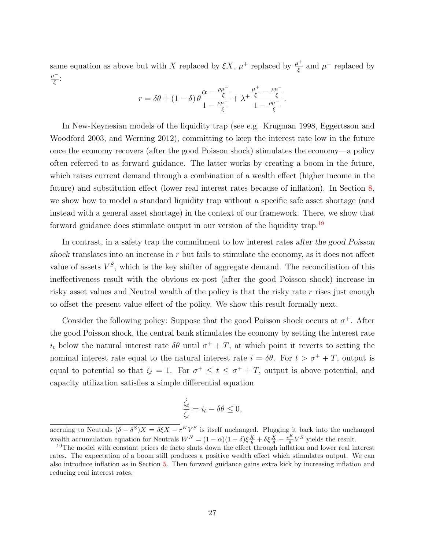same equation as above but with X replaced by  $\xi X$ ,  $\mu^+$  replaced by  $\frac{\mu^+}{\epsilon}$  $\frac{\mu^+}{\xi}$  and  $\mu^-$  replaced by  $\mu^ \frac{\iota^-}{\xi}$ :

$$
r = \delta\theta + (1 - \delta)\theta \frac{\alpha - \frac{\rho\mu^{-}}{\xi}}{1 - \frac{\rho\mu^{-}}{\xi}} + \lambda^{+} \frac{\frac{\mu^{+}}{\xi} - \frac{\rho\mu^{-}}{\xi}}{1 - \frac{\rho\mu^{-}}{\xi}}.
$$

In New-Keynesian models of the liquidity trap (see e.g. Krugman 1998, Eggertsson and Woodford 2003, and Werning 2012), committing to keep the interest rate low in the future once the economy recovers (after the good Poisson shock) stimulates the economy—a policy often referred to as forward guidance. The latter works by creating a boom in the future, which raises current demand through a combination of a wealth effect (higher income in the future) and substitution effect (lower real interest rates because of inflation). In Section [8,](#page-43-0) we show how to model a standard liquidity trap without a specific safe asset shortage (and instead with a general asset shortage) in the context of our framework. There, we show that forward guidance does stimulate output in our version of the liquidity trap.<sup>[19](#page-26-0)</sup>

In contrast, in a safety trap the commitment to low interest rates after the good Poisson shock translates into an increase in  $r$  but fails to stimulate the economy, as it does not affect value of assets  $V^S$ , which is the key shifter of aggregate demand. The reconciliation of this ineffectiveness result with the obvious ex-post (after the good Poisson shock) increase in risky asset values and Neutral wealth of the policy is that the risky rate r rises just enough to offset the present value effect of the policy. We show this result formally next.

Consider the following policy: Suppose that the good Poisson shock occurs at  $\sigma^+$ . After the good Poisson shock, the central bank stimulates the economy by setting the interest rate  $i_t$  below the natural interest rate  $\delta\theta$  until  $\sigma^+ + T$ , at which point it reverts to setting the nominal interest rate equal to the natural interest rate  $i = \delta\theta$ . For  $t > \sigma^+ + T$ , output is equal to potential so that  $\zeta_t = 1$ . For  $\sigma^+ \leq t \leq \sigma^+ + T$ , output is above potential, and capacity utilization satisfies a simple differential equation

$$
\frac{\dot{\zeta}_t}{\zeta_t} = i_t - \delta\theta \le 0,
$$

accruing to Neutrals  $(\delta - \delta^S)X = \delta \xi X - r^K V^S$  is itself unchanged. Plugging it back into the unchanged wealth accumulation equation for Neutrals  $W^N = (1 - \alpha)(1 - \delta)\xi \frac{X}{\theta} + \delta \xi \frac{X}{\theta} - \frac{r^K}{\theta}$  $\frac{\kappa}{\theta} V^S$  yields the result.

<span id="page-26-0"></span><sup>&</sup>lt;sup>19</sup>The model with constant prices de facto shuts down the effect through inflation and lower real interest rates. The expectation of a boom still produces a positive wealth effect which stimulates output. We can also introduce inflation as in Section [5.](#page-29-0) Then forward guidance gains extra kick by increasing inflation and reducing real interest rates.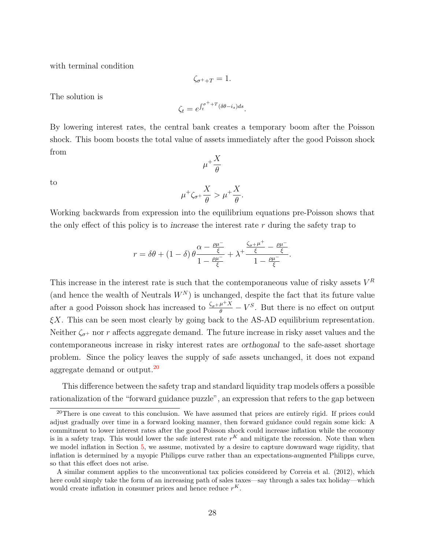with terminal condition

$$
\zeta_{\sigma^++T}=1.
$$

The solution is

$$
\zeta_t = e^{\int_t^{\sigma^+ + T} (\delta \theta - i_s) ds}.
$$

By lowering interest rates, the central bank creates a temporary boom after the Poisson shock. This boom boosts the total value of assets immediately after the good Poisson shock from  $\mu^{+}\frac{X}{a}$ 

$$
\quad\text{to}\quad
$$

$$
\mu^+\zeta_{\sigma^+}\frac{X}{\theta} > \mu^+\frac{X}{\theta}.
$$

θ

Working backwards from expression into the equilibrium equations pre-Poisson shows that the only effect of this policy is to increase the interest rate r during the safety trap to

$$
r = \delta\theta + (1 - \delta)\theta \frac{\alpha - \frac{\rho\mu^-}{\xi}}{1 - \frac{\rho\mu^-}{\xi}} + \lambda^+ \frac{\frac{\zeta_\sigma + \mu^+}{\xi} - \frac{\rho\mu^-}{\xi}}{1 - \frac{\rho\mu^-}{\xi}}.
$$

This increase in the interest rate is such that the contemporaneous value of risky assets  $V^R$ (and hence the wealth of Neutrals  $W<sup>N</sup>$ ) is unchanged, despite the fact that its future value after a good Poisson shock has increased to  $\frac{\zeta_{\sigma^+ \mu^+ X}}{\theta} - V^S$ . But there is no effect on output  $\xi X$ . This can be seen most clearly by going back to the AS-AD equilibrium representation. Neither  $\zeta_{\sigma^+}$  nor r affects aggregate demand. The future increase in risky asset values and the contemporaneous increase in risky interest rates are orthogonal to the safe-asset shortage problem. Since the policy leaves the supply of safe assets unchanged, it does not expand aggregate demand or output.[20](#page-27-0)

This difference between the safety trap and standard liquidity trap models offers a possible rationalization of the "forward guidance puzzle", an expression that refers to the gap between

<span id="page-27-0"></span> $20$ There is one caveat to this conclusion. We have assumed that prices are entirely rigid. If prices could adjust gradually over time in a forward looking manner, then forward guidance could regain some kick: A commitment to lower interest rates after the good Poisson shock could increase inflation while the economy is in a safety trap. This would lower the safe interest rate  $r<sup>K</sup>$  and mitigate the recession. Note than when we model inflation in Section [5,](#page-29-0) we assume, motivated by a desire to capture downward wage rigidity, that inflation is determined by a myopic Philipps curve rather than an expectations-augmented Philipps curve, so that this effect does not arise.

A similar comment applies to the unconventional tax policies considered by Correia et al. (2012), which here could simply take the form of an increasing path of sales taxes—say through a sales tax holiday—which would create inflation in consumer prices and hence reduce  $r<sup>K</sup>$ .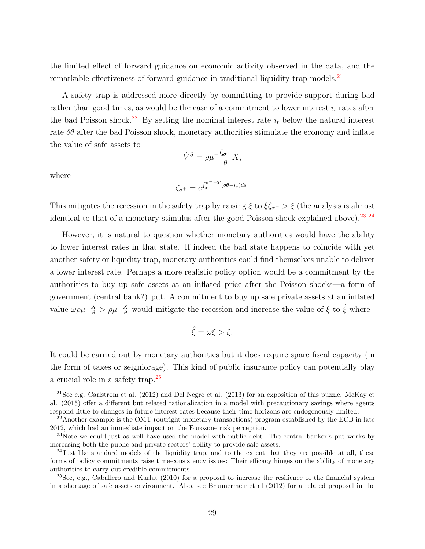the limited effect of forward guidance on economic activity observed in the data, and the remarkable effectiveness of forward guidance in traditional liquidity trap models.[21](#page-28-0)

A safety trap is addressed more directly by committing to provide support during bad rather than good times, as would be the case of a commitment to lower interest  $i_t$  rates after the bad Poisson shock.<sup>[22](#page-28-1)</sup> By setting the nominal interest rate  $i_t$  below the natural interest rate  $\delta\theta$  after the bad Poisson shock, monetary authorities stimulate the economy and inflate the value of safe assets to

$$
\hat{V}^S = \rho \mu^{-\frac{\zeta_{\sigma^+}}{\theta}} X,
$$

where

$$
\zeta_{\sigma^+} = e^{\int_{\sigma^+}^{\sigma^++T} (\delta\theta - i_s) ds}.
$$

This mitigates the recession in the safety trap by raising  $\xi$  to  $\xi \zeta_{\sigma^+} > \xi$  (the analysis is almost identical to that of a monetary stimulus after the good Poisson shock explained above).  $23.24$  $23.24$  $23.24$ 

However, it is natural to question whether monetary authorities would have the ability to lower interest rates in that state. If indeed the bad state happens to coincide with yet another safety or liquidity trap, monetary authorities could find themselves unable to deliver a lower interest rate. Perhaps a more realistic policy option would be a commitment by the authorities to buy up safe assets at an inflated price after the Poisson shocks—a form of government (central bank?) put. A commitment to buy up safe private assets at an inflated value  $\omega \rho \mu^{-\frac{X}{\theta}} > \rho \mu^{-\frac{X}{\theta}}$  would mitigate the recession and increase the value of  $\xi$  to  $\hat{\xi}$  where

$$
\hat{\xi} = \omega \xi > \xi.
$$

It could be carried out by monetary authorities but it does require spare fiscal capacity (in the form of taxes or seigniorage). This kind of public insurance policy can potentially play a crucial role in a safety trap.[25](#page-28-4)

<span id="page-28-0"></span><sup>&</sup>lt;sup>21</sup>See e.g. Carlstrom et al.  $(2012)$  and Del Negro et al.  $(2013)$  for an exposition of this puzzle. McKay et al. (2015) offer a different but related rationalization in a model with precautionary savings where agents respond little to changes in future interest rates because their time horizons are endogenously limited.

<span id="page-28-1"></span> $^{22}$ Another example is the OMT (outright monetary transactions) program established by the ECB in late 2012, which had an immediate impact on the Eurozone risk perception.

<span id="page-28-2"></span> $^{23}$ Note we could just as well have used the model with public debt. The central banker's put works by increasing both the public and private sectors' ability to provide safe assets.

<span id="page-28-3"></span><sup>&</sup>lt;sup>24</sup> Just like standard models of the liquidity trap, and to the extent that they are possible at all, these forms of policy commitments raise time-consistency issues: Their efficacy hinges on the ability of monetary authorities to carry out credible commitments.

<span id="page-28-4"></span><sup>&</sup>lt;sup>25</sup>See, e.g., Caballero and Kurlat  $(2010)$  for a proposal to increase the resilience of the financial system in a shortage of safe assets environment. Also, see Brunnermeir et al (2012) for a related proposal in the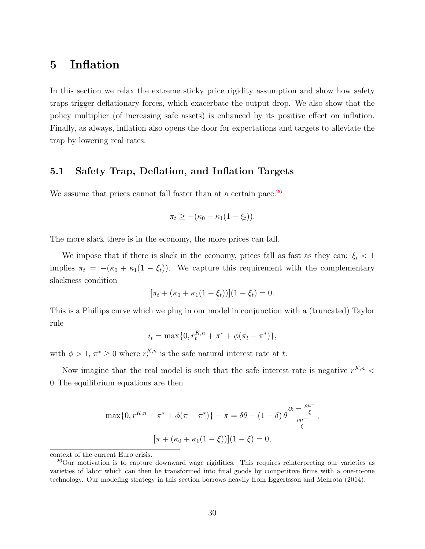### <span id="page-29-0"></span>5 Inflation

In this section we relax the extreme sticky price rigidity assumption and show how safety traps trigger deflationary forces, which exacerbate the output drop. We also show that the policy multiplier (of increasing safe assets) is enhanced by its positive effect on inflation. Finally, as always, inflation also opens the door for expectations and targets to alleviate the trap by lowering real rates.

#### 5.1 Safety Trap, Deflation, and Inflation Targets

We assume that prices cannot fall faster than at a certain pace:  $26$ 

$$
\pi_t \geq -(\kappa_0 + \kappa_1(1 - \xi_t)).
$$

The more slack there is in the economy, the more prices can fall.

We impose that if there is slack in the economy, prices fall as fast as they can:  $\xi_t < 1$ implies  $\pi_t = -(\kappa_0 + \kappa_1(1 - \xi_t))$ . We capture this requirement with the complementary slackness condition

$$
[\pi_t + (\kappa_0 + \kappa_1(1 - \xi_t))](1 - \xi_t) = 0.
$$

This is a Phillips curve which we plug in our model in conjunction with a (truncated) Taylor rule

$$
i_t = \max\{0, r_t^{K,n} + \pi^* + \phi(\pi_t - \pi^*)\},\
$$

with  $\phi > 1, \pi^* \geq 0$  where  $r_t^{K,n}$  $t^{R,n}$  is the safe natural interest rate at t.

Now imagine that the real model is such that the safe interest rate is negative  $r^{K,n}$  < 0. The equilibrium equations are then

$$
\max\{0, r^{K,n} + \pi^* + \phi(\pi - \pi^*)\} - \pi = \delta\theta - (1 - \delta)\theta \frac{\alpha - \frac{\rho\mu^-}{\xi}}{\frac{\rho\mu^-}{\xi}},
$$

$$
[\pi + (\kappa_0 + \kappa_1(1 - \xi))](1 - \xi) = 0,
$$

context of the current Euro crisis.

<span id="page-29-1"></span><sup>&</sup>lt;sup>26</sup>Our motivation is to capture downward wage rigidities. This requires reinterpreting our varieties as varieties of labor which can then be transformed into final goods by competitive firms with a one-to-one technology. Our modeling strategy in this section borrows heavily from Eggertsson and Mehrota (2014).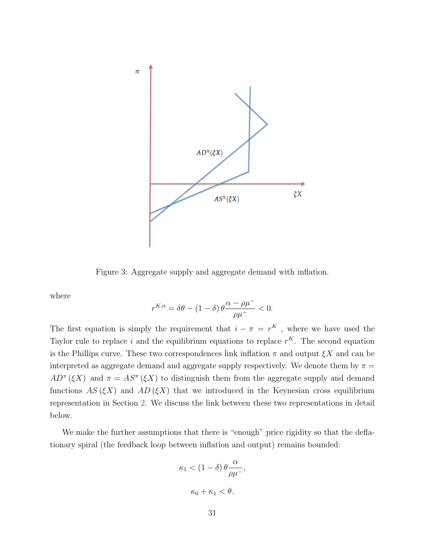

Figure 3: Aggregate supply and aggregate demand with inflation.

where

$$
r^{K,n} = \delta\theta - (1 - \delta) \theta \frac{\alpha - \rho\mu^-}{\rho\mu^-} < 0.
$$

The first equation is simply the requirement that  $i - \pi = r^{K}$ , where we have used the Taylor rule to replace i and the equilibrium equations to replace  $r<sup>K</sup>$ . The second equation is the Phillips curve. These two correspondences link inflation  $\pi$  and output  $\xi X$  and can be interpreted as aggregate demand and aggregate supply respectively. We denote them by  $\pi =$  $AD^{\pi}(\xi X)$  and  $\pi = AS^{\pi}(\xi X)$  to distinguish them from the aggregate supply and demand functions  $AS(\xi X)$  and  $AD(\xi X)$  that we introduced in the Keynesian cross equilibrium representation in Section [2.](#page-5-0) We discuss the link between these two representations in detail below.

We make the further assumptions that there is "enough" price rigidity so that the deflationary spiral (the feedback loop between inflation and output) remains bounded:

$$
\kappa_1 < (1 - \delta) \theta \frac{\alpha}{\rho \mu^{-}},
$$
  

$$
\kappa_0 + \kappa_1 < \theta.
$$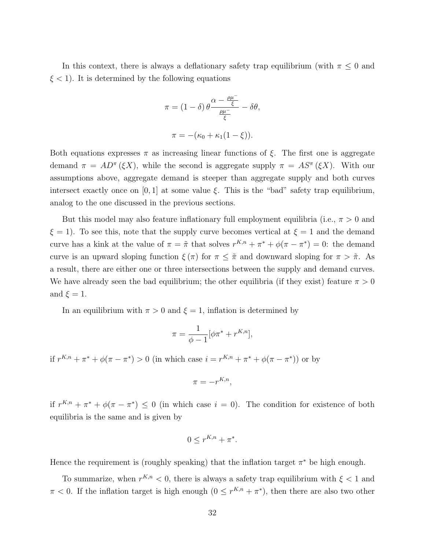In this context, there is always a deflationary safety trap equilibrium (with  $\pi \leq 0$  and  $\xi$  < 1). It is determined by the following equations

$$
\pi = (1 - \delta) \theta \frac{\alpha - \frac{\rho \mu^{-}}{\xi}}{\frac{\rho \mu^{-}}{\xi}} - \delta \theta,
$$

$$
\pi = -(\kappa_0 + \kappa_1 (1 - \xi)).
$$

Both equations expresses  $\pi$  as increasing linear functions of  $\xi$ . The first one is aggregate demand  $\pi = AD^{\pi}(\xi X)$ , while the second is aggregate supply  $\pi = AS^{\pi}(\xi X)$ . With our assumptions above, aggregate demand is steeper than aggregate supply and both curves intersect exactly once on [0, 1] at some value  $\xi$ . This is the "bad" safety trap equilibrium, analog to the one discussed in the previous sections.

But this model may also feature inflationary full employment equilibria (i.e.,  $\pi > 0$  and  $\xi = 1$ . To see this, note that the supply curve becomes vertical at  $\xi = 1$  and the demand curve has a kink at the value of  $\pi = \tilde{\pi}$  that solves  $r^{K,n} + \pi^* + \phi(\pi - \pi^*) = 0$ : the demand curve is an upward sloping function  $\xi(\pi)$  for  $\pi \leq \tilde{\pi}$  and downward sloping for  $\pi > \tilde{\pi}$ . As a result, there are either one or three intersections between the supply and demand curves. We have already seen the bad equilibrium; the other equilibria (if they exist) feature  $\pi > 0$ and  $\xi = 1$ .

In an equilibrium with  $\pi > 0$  and  $\xi = 1$ , inflation is determined by

$$
\pi = \frac{1}{\phi - 1} [\phi \pi^* + r^{K,n}],
$$

if  $r^{K,n} + \pi^* + \phi(\pi - \pi^*) > 0$  (in which case  $i = r^{K,n} + \pi^* + \phi(\pi - \pi^*)$ ) or by

$$
\pi = -r^{K,n},
$$

if  $r^{K,n} + \pi^* + \phi(\pi - \pi^*) \leq 0$  (in which case  $i = 0$ ). The condition for existence of both equilibria is the same and is given by

$$
0 \leq r^{K,n} + \pi^*.
$$

Hence the requirement is (roughly speaking) that the inflation target  $\pi^*$  be high enough.

To summarize, when  $r^{K,n} < 0$ , there is always a safety trap equilibrium with  $\xi < 1$  and  $\pi$  < 0. If the inflation target is high enough  $(0 \leq r^{K,n} + \pi^*)$ , then there are also two other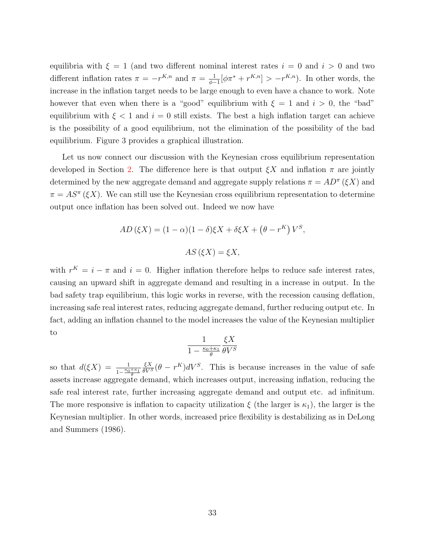equilibria with  $\xi = 1$  (and two different nominal interest rates  $i = 0$  and  $i > 0$  and two different inflation rates  $\pi = -r^{K,n}$  and  $\pi = \frac{1}{\phi - \frac{1}{\phi - \frac{1}{\phi - \frac{1}{\phi - \frac{1}{\phi - \frac{1}{\phi - \frac{1}{\phi - \frac{1}{\phi - \frac{1}{\phi - \frac{1}{\phi - \frac{1}{\phi - \frac{1}{\phi - \frac{1}{\phi - \frac{1}{\phi - \frac{1}{\phi - \frac{1}{\phi - \frac{1}{\phi - \frac{1}{\phi - \frac{1}{\phi - \frac{1}{\phi - \frac{1}{\phi - \frac{1}{\phi$  $\frac{1}{\phi-1}[\phi\pi^* + r^{K,n}] > -r^{K,n}$ ). In other words, the increase in the inflation target needs to be large enough to even have a chance to work. Note however that even when there is a "good" equilibrium with  $\xi = 1$  and  $i > 0$ , the "bad" equilibrium with  $\xi < 1$  and  $i = 0$  still exists. The best a high inflation target can achieve is the possibility of a good equilibrium, not the elimination of the possibility of the bad equilibrium. Figure 3 provides a graphical illustration.

Let us now connect our discussion with the Keynesian cross equilibrium representation developed in Section [2.](#page-5-0) The difference here is that output  $\zeta X$  and inflation  $\pi$  are jointly determined by the new aggregate demand and aggregate supply relations  $\pi = AD^{\pi}(\xi X)$  and  $\pi = AS^{\pi}(\xi X)$ . We can still use the Keynesian cross equilibrium representation to determine output once inflation has been solved out. Indeed we now have

$$
AD(\xi X) = (1 - \alpha)(1 - \delta)\xi X + \delta\xi X + (\theta - r^K)V^S,
$$
  
AS(\xi X) = \xi X,

with  $r^K = i - \pi$  and  $i = 0$ . Higher inflation therefore helps to reduce safe interest rates, causing an upward shift in aggregate demand and resulting in a increase in output. In the bad safety trap equilibrium, this logic works in reverse, with the recession causing deflation, increasing safe real interest rates, reducing aggregate demand, further reducing output etc. In fact, adding an inflation channel to the model increases the value of the Keynesian multiplier to

$$
\frac{1}{1 - \frac{\kappa_0 + \kappa_1}{\theta}} \frac{\xi X}{\theta V^S}
$$

so that  $d(\xi X) = \frac{1}{1-\frac{\kappa_0+\kappa_1}{\theta}}$  $\frac{\xi X}{\theta V^S}(\theta - r^K)dV^S$ . This is because increases in the value of safe assets increase aggregate demand, which increases output, increasing inflation, reducing the safe real interest rate, further increasing aggregate demand and output etc. ad infinitum. The more responsive is inflation to capacity utilization  $\xi$  (the larger is  $\kappa_1$ ), the larger is the Keynesian multiplier. In other words, increased price flexibility is destabilizing as in DeLong and Summers (1986).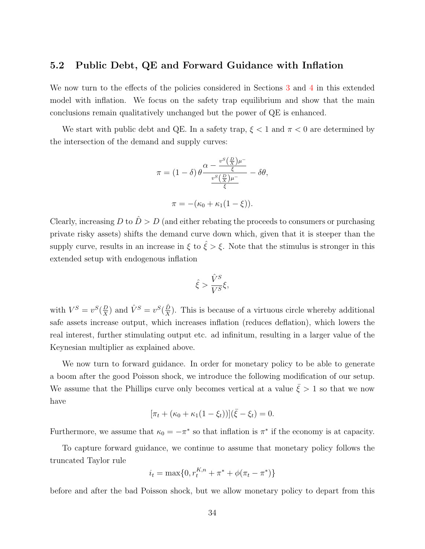### 5.2 Public Debt, QE and Forward Guidance with Inflation

We now turn to the effects of the policies considered in Sections [3](#page-19-0) and [4](#page-25-0) in this extended model with inflation. We focus on the safety trap equilibrium and show that the main conclusions remain qualitatively unchanged but the power of QE is enhanced.

We start with public debt and QE. In a safety trap,  $\xi < 1$  and  $\pi < 0$  are determined by the intersection of the demand and supply curves:

$$
\pi = (1 - \delta) \theta \frac{\alpha - \frac{v^S(\frac{D}{X})\mu^-}{\xi}}{\frac{v^S(\frac{D}{X})\mu^-}{\xi}} - \delta\theta,
$$

$$
\pi = -(\kappa_0 + \kappa_1(1 - \xi)).
$$

Clearly, increasing D to  $\hat{D} > D$  (and either rebating the proceeds to consumers or purchasing private risky assets) shifts the demand curve down which, given that it is steeper than the supply curve, results in an increase in  $\xi$  to  $\hat{\xi} > \xi$ . Note that the stimulus is stronger in this extended setup with endogenous inflation

$$
\hat{\xi} > \frac{\hat{V}^S}{V^S} \xi,
$$

with  $V^S = v^S(\frac{D}{Y})$  $\frac{D}{X}$ ) and  $\hat{V}^S = v^S(\frac{\hat{D}}{X})$  $\frac{D}{X}$ ). This is because of a virtuous circle whereby additional safe assets increase output, which increases inflation (reduces deflation), which lowers the real interest, further stimulating output etc. ad infinitum, resulting in a larger value of the Keynesian multiplier as explained above.

We now turn to forward guidance. In order for monetary policy to be able to generate a boom after the good Poisson shock, we introduce the following modification of our setup. We assume that the Phillips curve only becomes vertical at a value  $\bar{\xi} > 1$  so that we now have

$$
[\pi_t + (\kappa_0 + \kappa_1(1 - \xi_t))](\bar{\xi} - \xi_t) = 0.
$$

Furthermore, we assume that  $\kappa_0 = -\pi^*$  so that inflation is  $\pi^*$  if the economy is at capacity.

To capture forward guidance, we continue to assume that monetary policy follows the truncated Taylor rule

$$
i_t = \max\{0, r_t^{K,n} + \pi^* + \phi(\pi_t - \pi^*)\}
$$

before and after the bad Poisson shock, but we allow monetary policy to depart from this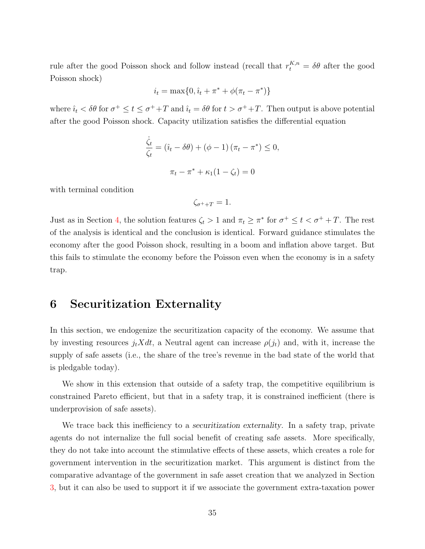rule after the good Poisson shock and follow instead (recall that  $r_t^{K,n} = \delta\theta$  after the good Poisson shock)

$$
i_t = \max\{0, \hat{i}_t + \pi^* + \phi(\pi_t - \pi^*)\}
$$

where  $\hat{i}_t < \delta\theta$  for  $\sigma^+ \le t \le \sigma^+ + T$  and  $\hat{i}_t = \delta\theta$  for  $t > \sigma^+ + T$ . Then output is above potential after the good Poisson shock. Capacity utilization satisfies the differential equation

$$
\frac{\dot{\zeta}_t}{\zeta_t} = (\hat{\imath}_t - \delta\theta) + (\phi - 1)(\pi_t - \pi^*) \le 0,
$$
  

$$
\pi_t - \pi^* + \kappa_1(1 - \zeta_t) = 0
$$

with terminal condition

$$
\zeta_{\sigma^++T}=1.
$$

Just as in Section [4,](#page-25-0) the solution features  $\zeta_t > 1$  and  $\pi_t \geq \pi^*$  for  $\sigma^+ \leq t < \sigma^+ + T$ . The rest of the analysis is identical and the conclusion is identical. Forward guidance stimulates the economy after the good Poisson shock, resulting in a boom and inflation above target. But this fails to stimulate the economy before the Poisson even when the economy is in a safety trap.

### <span id="page-34-0"></span>6 Securitization Externality

In this section, we endogenize the securitization capacity of the economy. We assume that by investing resources  $j_tXdt$ , a Neutral agent can increase  $\rho(j_t)$  and, with it, increase the supply of safe assets (i.e., the share of the tree's revenue in the bad state of the world that is pledgable today).

We show in this extension that outside of a safety trap, the competitive equilibrium is constrained Pareto efficient, but that in a safety trap, it is constrained inefficient (there is underprovision of safe assets).

We trace back this inefficiency to a *securitization* externality. In a safety trap, private agents do not internalize the full social benefit of creating safe assets. More specifically, they do not take into account the stimulative effects of these assets, which creates a role for government intervention in the securitization market. This argument is distinct from the comparative advantage of the government in safe asset creation that we analyzed in Section [3,](#page-19-0) but it can also be used to support it if we associate the government extra-taxation power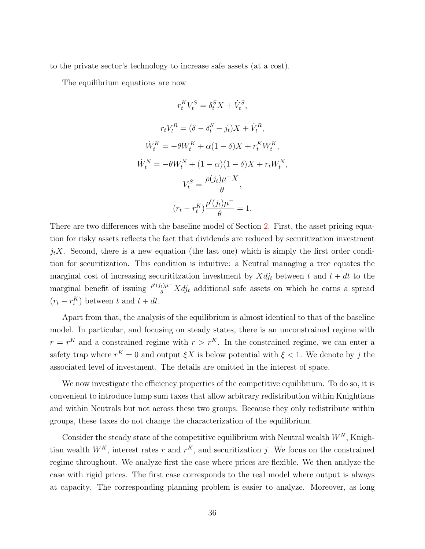to the private sector's technology to increase safe assets (at a cost).

The equilibrium equations are now

$$
r_t^K V_t^S = \delta_t^S X + \dot{V}_t^S,
$$
  
\n
$$
r_t V_t^R = (\delta - \delta_t^S - j_t) X + \dot{V}_t^R,
$$
  
\n
$$
\dot{W}_t^K = -\theta W_t^K + \alpha (1 - \delta) X + r_t^K W_t^K,
$$
  
\n
$$
\dot{W}_t^N = -\theta W_t^N + (1 - \alpha)(1 - \delta) X + r_t W_t^N,
$$
  
\n
$$
V_t^S = \frac{\rho(j_t)\mu^- X}{\theta},
$$
  
\n
$$
(r_t - r_t^K) \frac{\rho'(j_t)\mu^-}{\theta} = 1.
$$

There are two differences with the baseline model of Section [2.](#page-5-0) First, the asset pricing equation for risky assets reflects the fact that dividends are reduced by securitization investment  $j_tX$ . Second, there is a new equation (the last one) which is simply the first order condition for securitization. This condition is intuitive: a Neutral managing a tree equates the marginal cost of increasing securitization investment by  $Xdj_t$  between t and  $t + dt$  to the marginal benefit of issuing  $\frac{\rho'(j_t)\mu^-}{\theta} X d j_t$  additional safe assets on which he earns a spread  $(r_t - r_t^K)$  between t and  $t + dt$ .

Apart from that, the analysis of the equilibrium is almost identical to that of the baseline model. In particular, and focusing on steady states, there is an unconstrained regime with  $r = r^{K}$  and a constrained regime with  $r > r^{K}$ . In the constrained regime, we can enter a safety trap where  $r^{K} = 0$  and output  $\xi X$  is below potential with  $\xi < 1$ . We denote by j the associated level of investment. The details are omitted in the interest of space.

We now investigate the efficiency properties of the competitive equilibrium. To do so, it is convenient to introduce lump sum taxes that allow arbitrary redistribution within Knightians and within Neutrals but not across these two groups. Because they only redistribute within groups, these taxes do not change the characterization of the equilibrium.

Consider the steady state of the competitive equilibrium with Neutral wealth  $W^N$ , Knightian wealth  $W^K$ , interest rates r and  $r^K$ , and securitization j. We focus on the constrained regime throughout. We analyze first the case where prices are flexible. We then analyze the case with rigid prices. The first case corresponds to the real model where output is always at capacity. The corresponding planning problem is easier to analyze. Moreover, as long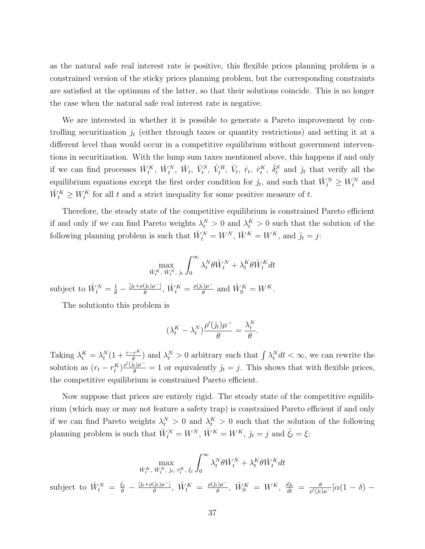as the natural safe real interest rate is positive, this flexible prices planning problem is a constrained version of the sticky prices planning problem, but the corresponding constraints are satisfied at the optimum of the latter, so that their solutions coincide. This is no longer the case when the natural safe real interest rate is negative.

We are interested in whether it is possible to generate a Pareto improvement by controlling securitization  $j_t$  (either through taxes or quantity restrictions) and setting it at a different level than would occur in a competitive equilibrium without government interventions in securitization. With the lump sum taxes mentioned above, this happens if and only if we can find processes  $\hat{W}_t^K$ ,  $\hat{W}_t^N$ ,  $\hat{W}_t$ ,  $\hat{V}_t^S$ ,  $\hat{V}_t^R$ ,  $\hat{V}_t$ ,  $\hat{r}_t$ ,  $\hat{r}_t^K$ ,  $\hat{\delta}_t^S$  and  $\hat{j}_t$  that verify all the equilibrium equations except the first order condition for  $\hat{j}_t$ , and such that  $\hat{W}_t^N \ge W_t^N$  and  $\hat{W}_{t}^{K} \geq W_{t}^{K}$  for all t and a strict inequality for some positive measure of t.

Therefore, the steady state of the competitive equilibrium is constrained Pareto efficient if and only if we can find Pareto weights  $\lambda_t^N > 0$  and  $\lambda_t^K > 0$  such that the solution of the following planning problem is such that  $\hat{W}_t^N = W^N$ ,  $\hat{W}^K = W^K$ , and  $\hat{j}_t = j$ :

$$
\max_{\hat{W}^{K}_{t}, \hat{W}^{N}_{t}, \hat{\jmath}_{t}} \int_{0}^{\infty} \lambda^{N}_{t} \theta \hat{W}^{N}_{t} + \lambda^{K}_{t} \theta \hat{W}^{K}_{t} dt
$$

subject to  $\hat{W}_{t}^{N} = \frac{1}{\theta} - \frac{[\hat{j}_{t} + \rho(\hat{j}_{t})\mu^{-}]}{\theta}$  $\frac{(\hat{j}_t)\mu^-]}{\theta}$ ,  $\hat{W}_t^K = \frac{\rho(\hat{j}_t)\mu^-}{\theta}$  $\hat{\psi}_{\theta}^{k}$  and  $\hat{W}_{0}^{K} = W^{K}$ .

The solutionto this problem is

$$
(\lambda_t^K - \lambda_t^N) \frac{\rho'(\hat{\jmath}_t)\mu^-}{\theta} = \frac{\lambda_t^N}{\theta}.
$$

Taking  $\lambda_t^K = \lambda_t^N(1 + \frac{r - r^K}{\theta})$  and  $\lambda_t^N > 0$  arbitrary such that  $\int \lambda_t^N dt < \infty$ , we can rewrite the solution as  $(r_t - r_t^K) \frac{\rho'(\hat{j}_t)\mu^-}{\theta} = 1$  or equivalently  $\hat{j}_t = j$ . This shows that with flexible prices, the competitive equilibrium is constrained Pareto efficient.

Now suppose that prices are entirely rigid. The steady state of the competitive equilibrium (which may or may not feature a safety trap) is constrained Pareto efficient if and only if we can find Pareto weights  $\lambda_t^N > 0$  and  $\lambda_t^K > 0$  such that the solution of the following planning problem is such that  $\hat{W}_{t}^{N} = W^{N}, \hat{W}^{K} = W^{K}, \hat{j}_{t} = j$  and  $\hat{\xi}_{t} = \xi$ :

$$
\max_{\hat{W}_t^K, \ \hat{W}_t^N, \ \hat{y}_t^K, \ \hat{\xi}_t} \int_0^\infty \lambda_t^N \theta \hat{W}_t^N + \lambda_t^K \theta \hat{W}_t^K dt
$$
\nsubject to  $\hat{W}_t^N = \frac{\hat{\xi}_t}{\theta} - \frac{[\hat{\jmath}_t + \rho(\hat{\jmath}_t)\mu^-]}{\theta}, \ \hat{W}_t^K = \frac{\rho(\hat{\jmath}_t)\mu^-}{\theta}, \ \hat{W}_0^K = W^K, \ \frac{d\hat{\jmath}_t}{dt} = \frac{\theta}{\rho'(\hat{\jmath}_t)\mu^-} [\alpha(1-\delta) - \alpha(1-\delta)]$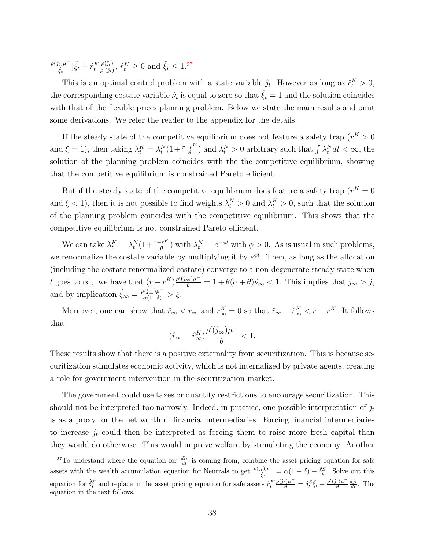$\rho(\hat{j}_t)\mu^ [\hat{\xi}_t^{(\ell)}] \hat{\xi}_t + \hat{r}_t^K$  $\rho(\hat{\jmath}_t)$  $\frac{\rho(\hat{j}_t)}{\rho'(\hat{j}_t)}, \hat{r}_t^K \ge 0$  and  $\hat{\xi}_t \le 1.27$  $\hat{\xi}_t \le 1.27$ 

This is an optimal control problem with a state variable  $\hat{j}_t$ . However as long as  $\hat{r}_t^K > 0$ , the corresponding costate variable  $\hat{\nu}_t$  is equal to zero so that  $\hat{\xi_t} = 1$  and the solution coincides with that of the flexible prices planning problem. Below we state the main results and omit some derivations. We refer the reader to the appendix for the details.

If the steady state of the competitive equilibrium does not feature a safety trap  $(r^K > 0$ and  $\xi = 1$ ), then taking  $\lambda_t^K = \lambda_t^N (1 + \frac{r - r^K}{\theta})$  and  $\lambda_t^N > 0$  arbitrary such that  $\int \lambda_t^N dt < \infty$ , the solution of the planning problem coincides with the the competitive equilibrium, showing that the competitive equilibrium is constrained Pareto efficient.

But if the steady state of the competitive equilibrium does feature a safety trap  $(r<sup>K</sup> = 0$ and  $\xi < 1$ , then it is not possible to find weights  $\lambda_t^N > 0$  and  $\lambda_t^K > 0$ , such that the solution of the planning problem coincides with the competitive equilibrium. This shows that the competitive equilibrium is not constrained Pareto efficient.

We can take  $\lambda_t^K = \lambda_t^N (1 + \frac{r - r^K}{\theta})$  with  $\lambda_t^N = e^{-\phi t}$  with  $\phi > 0$ . As is usual in such problems, we renormalize the costate variable by multiplying it by  $e^{\phi t}$ . Then, as long as the allocation (including the costate renormalized costate) converge to a non-degenerate steady state when t goes to  $\infty$ , we have that  $(r - r^K) \frac{\rho'(\hat{\jmath}_{\infty})\mu^{-}}{\theta} = 1 + \theta(\sigma + \theta)\hat{\nu}_{\infty} < 1$ . This implies that  $\hat{\jmath}_{\infty} > j$ , and by implication  $\hat{\xi}_{\infty} = \frac{\rho(\hat{\jmath}_{\infty})\mu^{-}}{\alpha(1-\delta)} > \xi$ .

Moreover, one can show that  $\hat{r}_{\infty} < r_{\infty}$  and  $r_{\infty}^K = 0$  so that  $\hat{r}_{\infty} - \hat{r}_{\infty}^K < r - r^K$ . It follows that:

$$
(\hat{r}_\infty-\hat{r}_\infty^K)\frac{\rho'(\hat{\jmath}_\infty)\mu^-}{\theta}<1.
$$

These results show that there is a positive externality from securitization. This is because securitization stimulates economic activity, which is not internalized by private agents, creating a role for government intervention in the securitization market.

The government could use taxes or quantity restrictions to encourage securitization. This should not be interpreted too narrowly. Indeed, in practice, one possible interpretation of  $j_t$ is as a proxy for the net worth of financial intermediaries. Forcing financial intermediaries to increase  $j_t$  could then be interpreted as forcing them to raise more fresh capital than they would do otherwise. This would improve welfare by stimulating the economy. Another

<span id="page-37-0"></span><sup>&</sup>lt;sup>27</sup>To undestand where the equation for  $\frac{d\hat{u}_t}{dt}$  is coming from, combine the asset pricing equation for safe assets with the wealth accumulation equation for Neutrals to get  $\frac{\rho(j_t)\mu^{-}}{\hat{\epsilon}}$  $\frac{\partial_t \hat{\mu}}{\partial_t t} = \alpha (1 - \delta) + \hat{\delta}_t^S$ . Solve out this equation for  $\hat{\delta}_t^S$  and replace in the asset pricing equation for safe assets  $\hat{r}_t^K \frac{\rho(\hat{\jmath}_t)\mu^-}{\theta} = \delta_t^S \hat{\xi}_t + \frac{\rho'(\hat{\jmath}_t)\mu^-}{\theta}$  $\frac{d\hat{j}_t}{\theta} \frac{d\hat{j}_t}{dt}$ . The equation in the text follows.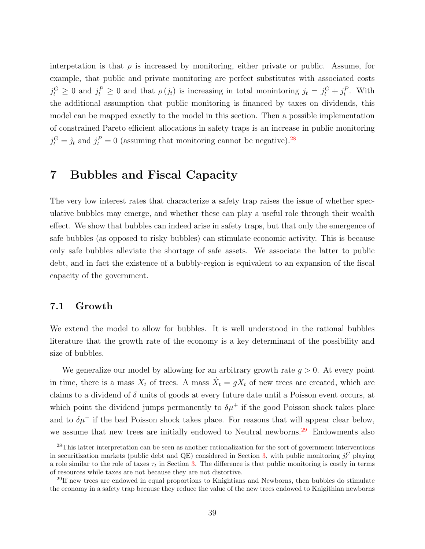interpetation is that  $\rho$  is increased by monitoring, either private or public. Assume, for example, that public and private monitoring are perfect substitutes with associated costs  $j_t^G \geq 0$  and  $j_t^P \geq 0$  and that  $\rho(j_t)$  is increasing in total monintoring  $j_t = j_t^G + j_t^P$ . With the additional assumption that public monitoring is financed by taxes on dividends, this model can be mapped exactly to the model in this section. Then a possible implementation of constrained Pareto efficient allocations in safety traps is an increase in public monitoring  $j_t^G = \hat{j}_t$  and  $j_t^P = 0$  (assuming that monitoring cannot be negative).<sup>[28](#page-38-1)</sup>

## <span id="page-38-0"></span>7 Bubbles and Fiscal Capacity

The very low interest rates that characterize a safety trap raises the issue of whether speculative bubbles may emerge, and whether these can play a useful role through their wealth effect. We show that bubbles can indeed arise in safety traps, but that only the emergence of safe bubbles (as opposed to risky bubbles) can stimulate economic activity. This is because only safe bubbles alleviate the shortage of safe assets. We associate the latter to public debt, and in fact the existence of a bubbly-region is equivalent to an expansion of the fiscal capacity of the government.

### <span id="page-38-3"></span>7.1 Growth

We extend the model to allow for bubbles. It is well understood in the rational bubbles literature that the growth rate of the economy is a key determinant of the possibility and size of bubbles.

We generalize our model by allowing for an arbitrary growth rate  $g > 0$ . At every point in time, there is a mass  $X_t$  of trees. A mass  $\dot{X}_t = gX_t$  of new trees are created, which are claims to a dividend of  $\delta$  units of goods at every future date until a Poisson event occurs, at which point the dividend jumps permanently to  $\delta \mu^+$  if the good Poisson shock takes place and to  $\delta \mu^-$  if the bad Poisson shock takes place. For reasons that will appear clear below, we assume that new trees are initially endowed to Neutral newborns.<sup>[29](#page-38-2)</sup> Endowments also

<span id="page-38-1"></span><sup>&</sup>lt;sup>28</sup>This latter interpretation can be seen as another rationalization for the sort of government interventions in securitization markets (public debt and QE) considered in Section [3,](#page-19-0) with public monitoring  $j_t^G$  playing a role similar to the role of taxes  $\tau_t$  in Section [3.](#page-19-0) The difference is that public monitoring is costly in terms of resources while taxes are not because they are not distortive.

<span id="page-38-2"></span> $^{29}$ If new trees are endowed in equal proportions to Knightians and Newborns, then bubbles do stimulate the economy in a safety trap because they reduce the value of the new trees endowed to Knigithian newborns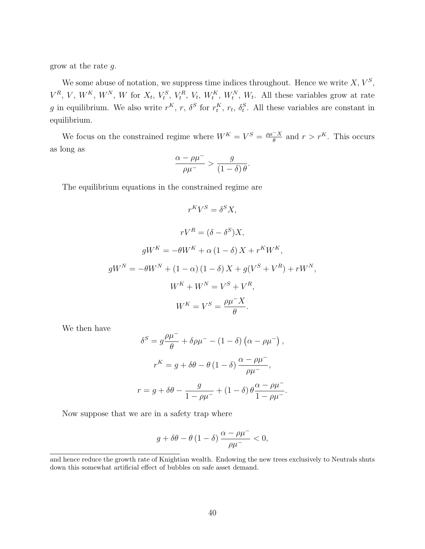grow at the rate g.

We some abuse of notation, we suppress time indices throughout. Hence we write  $X, V^S$ ,  $V^R$ , V,  $W^K$ ,  $W^N$ , W for  $X_t$ ,  $V_t^S$ ,  $V_t^R$ ,  $V_t$ ,  $W_t^K$ ,  $W_t^N$ ,  $W_t$ . All these variables grow at rate g in equilibrium. We also write  $r^K$ , r,  $\delta^S$  for  $r_t^K$ ,  $r_t$ ,  $\delta_t^S$ . All these variables are constant in equilibrium.

We focus on the constrained regime where  $W^K = V^S = \frac{\rho \mu - X}{\rho}$  $\frac{-X}{\theta}$  and  $r > r^K$ . This occurs as long as

$$
\frac{\alpha - \rho \mu^{-}}{\rho \mu^{-}} > \frac{g}{(1 - \delta) \theta}.
$$

The equilibrium equations in the constrained regime are

$$
r^K V^S = \delta^S X,
$$
  
\n
$$
rV^R = (\delta - \delta^S)X,
$$
  
\n
$$
gW^K = -\theta W^K + \alpha (1 - \delta) X + r^K W^K,
$$
  
\n
$$
gW^N = -\theta W^N + (1 - \alpha)(1 - \delta) X + g(V^S + V^R) + rW^N,
$$
  
\n
$$
W^K + W^N = V^S + V^R,
$$
  
\n
$$
W^K = V^S = \frac{\rho \mu^- X}{\theta}.
$$

We then have

$$
\delta^{S} = g \frac{\rho \mu^{-}}{\theta} + \delta \rho \mu^{-} - (1 - \delta) \left( \alpha - \rho \mu^{-} \right),
$$

$$
r^{K} = g + \delta \theta - \theta (1 - \delta) \frac{\alpha - \rho \mu^{-}}{\rho \mu^{-}},
$$

$$
r = g + \delta \theta - \frac{g}{1 - \rho \mu^{-}} + (1 - \delta) \theta \frac{\alpha - \rho \mu^{-}}{1 - \rho \mu^{-}}.
$$

Now suppose that we are in a safety trap where

$$
g + \delta \theta - \theta (1 - \delta) \frac{\alpha - \rho \mu^{-}}{\rho \mu^{-}} < 0,
$$

and hence reduce the growth rate of Knightian wealth. Endowing the new trees exclusively to Neutrals shuts down this somewhat artificial effect of bubbles on safe asset demand.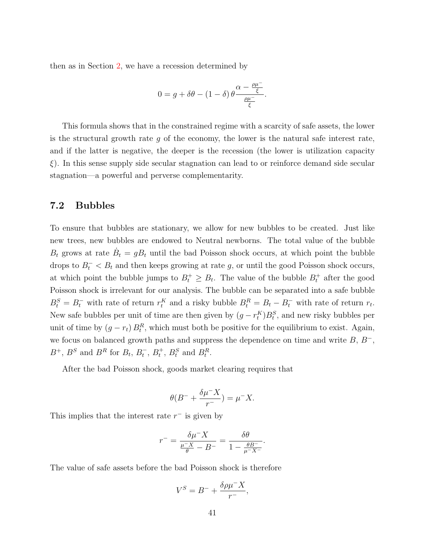then as in Section [2,](#page-5-0) we have a recession determined by

$$
0 = g + \delta\theta - (1 - \delta) \theta \frac{\alpha - \frac{\rho\mu^-}{\xi}}{\frac{\rho\mu^-}{\xi}}.
$$

This formula shows that in the constrained regime with a scarcity of safe assets, the lower is the structural growth rate  $g$  of the economy, the lower is the natural safe interest rate, and if the latter is negative, the deeper is the recession (the lower is utilization capacity  $\xi$ ). In this sense supply side secular stagnation can lead to or reinforce demand side secular stagnation—a powerful and perverse complementarity.

### 7.2 Bubbles

To ensure that bubbles are stationary, we allow for new bubbles to be created. Just like new trees, new bubbles are endowed to Neutral newborns. The total value of the bubble  $B_t$  grows at rate  $\dot{B}_t = gB_t$  until the bad Poisson shock occurs, at which point the bubble drops to  $B_t^- < B_t$  and then keeps growing at rate g, or until the good Poisson shock occurs, at which point the bubble jumps to  $B_t^+ \geq B_t$ . The value of the bubble  $B_t^+$  after the good Poisson shock is irrelevant for our analysis. The bubble can be separated into a safe bubble  $B_t^S = B_t^-$  with rate of return  $r_t^K$  and a risky bubble  $B_t^R = B_t - B_t^-$  with rate of return  $r_t$ . New safe bubbles per unit of time are then given by  $(g - r_t^K)B_t^S$ , and new risky bubbles per unit of time by  $(g - r_t) B_t^R$ , which must both be positive for the equilibrium to exist. Again, we focus on balanced growth paths and suppress the dependence on time and write  $B, B<sup>-</sup>$ ,  $B^+$ ,  $B^S$  and  $B^R$  for  $B_t$ ,  $B_t^-$ ,  $B_t^+$ ,  $B_t^S$  and  $B_t^R$ .

After the bad Poisson shock, goods market clearing requires that

$$
\theta(B^- + \frac{\delta \mu^- X}{r^-}) = \mu^- X.
$$

This implies that the interest rate  $r^-$  is given by

$$
r^- = \frac{\delta \mu^- X}{\frac{\mu^- X}{\theta} - B^-} = \frac{\delta \theta}{1 - \frac{\theta B^-}{\mu^- X^-}}.
$$

The value of safe assets before the bad Poisson shock is therefore

$$
V^S=B^-+\frac{\delta\rho\mu^-X}{r^-},
$$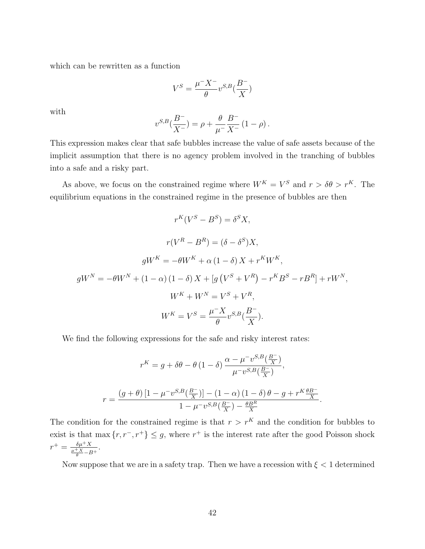which can be rewritten as a function

$$
V^S=\frac{\mu^-X^-}{\theta}v^{S,B}(\frac{B^-}{X})
$$

with

$$
v^{S,B}(\frac{B^-}{X^-}) = \rho + \frac{\theta}{\mu^-}\frac{B^-}{X^-}(1-\rho).
$$

This expression makes clear that safe bubbles increase the value of safe assets because of the implicit assumption that there is no agency problem involved in the tranching of bubbles into a safe and a risky part.

As above, we focus on the constrained regime where  $W^K = V^S$  and  $r > \delta\theta > r^K$ . The equilibrium equations in the constrained regime in the presence of bubbles are then

$$
r^{K}(V^{S} - B^{S}) = \delta^{S} X,
$$
  
\n
$$
r(V^{R} - B^{R}) = (\delta - \delta^{S})X,
$$
  
\n
$$
gW^{K} = -\theta W^{K} + \alpha (1 - \delta) X + r^{K} W^{K},
$$
  
\n
$$
gW^{N} = -\theta W^{N} + (1 - \alpha)(1 - \delta) X + [g(V^{S} + V^{R}) - r^{K} B^{S} - r B^{R}] + r W^{N},
$$
  
\n
$$
W^{K} + W^{N} = V^{S} + V^{R},
$$
  
\n
$$
W^{K} = V^{S} = \frac{\mu^{-X}}{\theta} v^{S,B} (\frac{B^{-}}{X}).
$$

We find the following expressions for the safe and risky interest rates:

$$
r^{K} = g + \delta\theta - \theta (1 - \delta) \frac{\alpha - \mu^{-} v^{S,B}(\frac{B^{-}}{X})}{\mu^{-} v^{S,B}(\frac{B^{-}}{X})},
$$

$$
r = \frac{(g + \theta) [1 - \mu^{-} v^{S,B}(\frac{B^{-}}{X})] - (1 - \alpha) (1 - \delta) \theta - g + r^{K} \frac{\theta B^{-}}{X}}{1 - \mu^{-} v^{S,B}(\frac{B^{-}}{X}) - \frac{\theta B^{R}}{X}}
$$

.

The condition for the constrained regime is that  $r > r<sup>K</sup>$  and the condition for bubbles to exist is that max  $\{r, r^-, r^+\} \leq g$ , where  $r^+$  is the interest rate after the good Poisson shock  $r^+ = \frac{\delta \mu^+ X}{\mu^+ X}$  $\frac{\mu+X}{\theta} - B^+$ .

Now suppose that we are in a safety trap. Then we have a recession with  $\xi < 1$  determined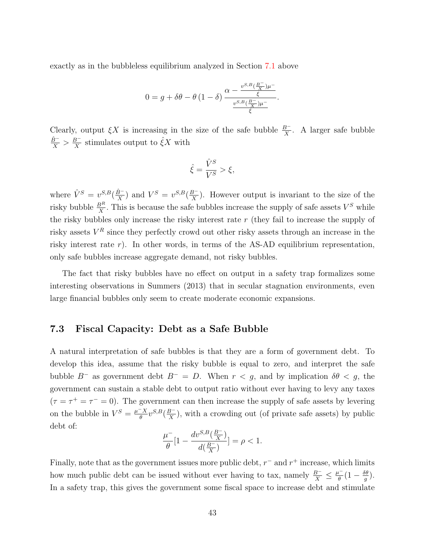exactly as in the bubbleless equilibrium analyzed in Section [7.1](#page-38-3) above

$$
0 = g + \delta\theta - \theta \left(1 - \delta\right) \frac{\alpha - \frac{v^{S,B}(\frac{B^{-}}{X})\mu^{-}}{\xi}}{\frac{v^{S,B}(\frac{B^{-}}{X})\mu^{-}}{\xi}}.
$$

Clearly, output  $\xi X$  is increasing in the size of the safe bubble  $\frac{B^-}{X}$ . A larger safe bubble  $\frac{\hat{B}^{-}}{X} > \frac{B^{-}}{X}$  $\frac{B^{-}}{X}$  stimulates output to  $\hat{\xi}X$  with

$$
\hat{\xi} = \frac{\hat{V}^S}{V^S} > \xi,
$$

where  $\hat{V}^{S} = v^{S,B}(\frac{\hat{B}^{-}}{Y})$  $\frac{\hat{B}^{-}}{X}$ ) and  $V^{S} = v^{S,B}(\frac{B^{-}}{X})$  $\frac{B^{-}}{X}$ ). However output is invariant to the size of the risky bubble  $\frac{B^R}{X}$ . This is because the safe bubbles increase the supply of safe assets  $V^S$  while the risky bubbles only increase the risky interest rate  $r$  (they fail to increase the supply of risky assets  $V^R$  since they perfectly crowd out other risky assets through an increase in the risky interest rate  $r$ ). In other words, in terms of the AS-AD equilibrium representation, only safe bubbles increase aggregate demand, not risky bubbles.

The fact that risky bubbles have no effect on output in a safety trap formalizes some interesting observations in Summers (2013) that in secular stagnation environments, even large financial bubbles only seem to create moderate economic expansions.

### 7.3 Fiscal Capacity: Debt as a Safe Bubble

A natural interpretation of safe bubbles is that they are a form of government debt. To develop this idea, assume that the risky bubble is equal to zero, and interpret the safe bubble  $B^-$  as government debt  $B^- = D$ . When  $r < g$ , and by implication  $\delta\theta < g$ , the government can sustain a stable debt to output ratio without ever having to levy any taxes  $(\tau = \tau^+ = \tau^- = 0)$ . The government can then increase the supply of safe assets by levering on the bubble in  $V^S = \frac{\mu - X}{\theta}$  $\frac{X}{\theta}v^{S,B}(\frac{B^-}{X})$  $\frac{B}{X}$ ), with a crowding out (of private safe assets) by public debt of:

$$
\frac{\mu^-}{\theta}[1-\frac{dv^{S,B}(\frac{B^-}{X})}{d(\frac{B^-}{X})}]=\rho<1.
$$

Finally, note that as the government issues more public debt,  $r^-$  and  $r^+$  increase, which limits how much public debt can be issued without ever having to tax, namely  $\frac{B^-}{X} \leq \frac{\mu^-}{\theta}$  $\frac{b}{\theta} (1 - \frac{\delta \theta}{g})$  $\frac{\partial \theta}{g}$ ). In a safety trap, this gives the government some fiscal space to increase debt and stimulate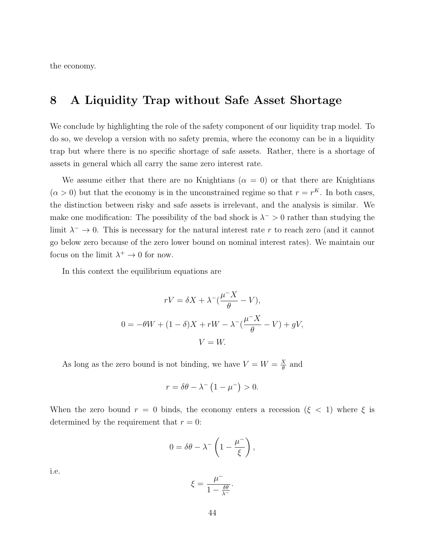the economy.

## <span id="page-43-0"></span>8 A Liquidity Trap without Safe Asset Shortage

We conclude by highlighting the role of the safety component of our liquidity trap model. To do so, we develop a version with no safety premia, where the economy can be in a liquidity trap but where there is no specific shortage of safe assets. Rather, there is a shortage of assets in general which all carry the same zero interest rate.

We assume either that there are no Knightians ( $\alpha = 0$ ) or that there are Knightians  $(\alpha > 0)$  but that the economy is in the unconstrained regime so that  $r = r^{K}$ . In both cases, the distinction between risky and safe assets is irrelevant, and the analysis is similar. We make one modification: The possibility of the bad shock is  $\lambda^{-} > 0$  rather than studying the limit  $\lambda^- \to 0$ . This is necessary for the natural interest rate r to reach zero (and it cannot go below zero because of the zero lower bound on nominal interest rates). We maintain our focus on the limit  $\lambda^+ \to 0$  for now.

In this context the equilibrium equations are

$$
rV = \delta X + \lambda^{-}(\frac{\mu^{-}X}{\theta} - V),
$$
  
0 =  $-\theta W + (1 - \delta)X + rW - \lambda^{-}(\frac{\mu^{-}X}{\theta} - V) + gV,$   
 $V = W.$ 

As long as the zero bound is not binding, we have  $V = W = \frac{X}{\theta}$  $\frac{\chi}{\theta}$  and

$$
r = \delta\theta - \lambda^{-} \left(1 - \mu^{-}\right) > 0.
$$

When the zero bound  $r = 0$  binds, the economy enters a recession ( $\xi < 1$ ) where  $\xi$  is determined by the requirement that  $r = 0$ :

$$
0 = \delta\theta - \lambda^{-} \left( 1 - \frac{\mu^{-}}{\xi} \right),
$$

i.e.

$$
\xi = \frac{\mu^-}{1 - \frac{\delta \theta}{\lambda^-}}.
$$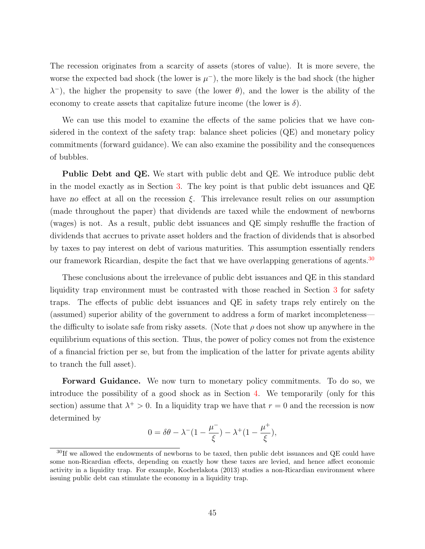The recession originates from a scarcity of assets (stores of value). It is more severe, the worse the expected bad shock (the lower is  $\mu^{-}$ ), the more likely is the bad shock (the higher  $\lambda^{-}$ ), the higher the propensity to save (the lower  $\theta$ ), and the lower is the ability of the economy to create assets that capitalize future income (the lower is  $\delta$ ).

We can use this model to examine the effects of the same policies that we have considered in the context of the safety trap: balance sheet policies (QE) and monetary policy commitments (forward guidance). We can also examine the possibility and the consequences of bubbles.

**Public Debt and QE.** We start with public debt and QE. We introduce public debt in the model exactly as in Section [3.](#page-19-0) The key point is that public debt issuances and QE have no effect at all on the recession  $\xi$ . This irrelevance result relies on our assumption (made throughout the paper) that dividends are taxed while the endowment of newborns (wages) is not. As a result, public debt issuances and QE simply reshuffle the fraction of dividends that accrues to private asset holders and the fraction of dividends that is absorbed by taxes to pay interest on debt of various maturities. This assumption essentially renders our framework Ricardian, despite the fact that we have overlapping generations of agents.<sup>[30](#page-44-0)</sup>

These conclusions about the irrelevance of public debt issuances and QE in this standard liquidity trap environment must be contrasted with those reached in Section [3](#page-19-0) for safety traps. The effects of public debt issuances and QE in safety traps rely entirely on the (assumed) superior ability of the government to address a form of market incompleteness the difficulty to isolate safe from risky assets. (Note that  $\rho$  does not show up anywhere in the equilibrium equations of this section. Thus, the power of policy comes not from the existence of a financial friction per se, but from the implication of the latter for private agents ability to tranch the full asset).

Forward Guidance. We now turn to monetary policy commitments. To do so, we introduce the possibility of a good shock as in Section [4.](#page-25-0) We temporarily (only for this section) assume that  $\lambda^+ > 0$ . In a liquidity trap we have that  $r = 0$  and the recession is now determined by

$$
0 = \delta\theta - \lambda^-(1 - \frac{\mu^-}{\xi}) - \lambda^+(1 - \frac{\mu^+}{\xi}),
$$

<span id="page-44-0"></span><sup>&</sup>lt;sup>30</sup>If we allowed the endowments of newborns to be taxed, then public debt issuances and QE could have some non-Ricardian effects, depending on exactly how these taxes are levied, and hence affect economic activity in a liquidity trap. For example, Kocherlakota (2013) studies a non-Ricardian environment where issuing public debt can stimulate the economy in a liquidity trap.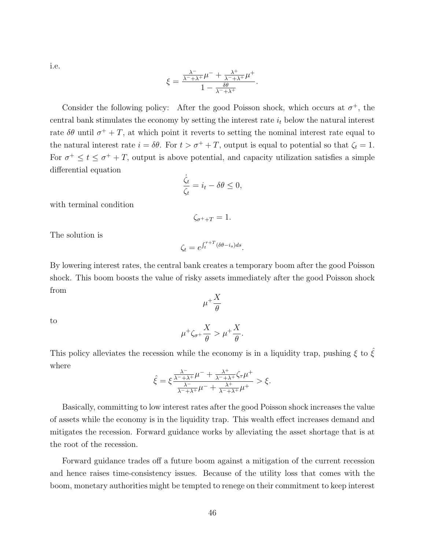i.e.

$$
\xi = \frac{\frac{\lambda^-}{\lambda^- + \lambda^+} \mu^- + \frac{\lambda^+}{\lambda^- + \lambda^+} \mu^+}{1 - \frac{\delta \theta}{\lambda^- + \lambda^+}}.
$$

Consider the following policy: After the good Poisson shock, which occurs at  $\sigma^+$ , the central bank stimulates the economy by setting the interest rate  $i_t$  below the natural interest rate  $\delta\theta$  until  $\sigma^+ + T$ , at which point it reverts to setting the nominal interest rate equal to the natural interest rate  $i = \delta\theta$ . For  $t > \sigma^+ + T$ , output is equal to potential so that  $\zeta_t = 1$ . For  $\sigma^+ \leq t \leq \sigma^+ + T$ , output is above potential, and capacity utilization satisfies a simple differential equation

$$
\frac{\dot{\zeta}_t}{\zeta_t} = i_t - \delta\theta \le 0,
$$

with terminal condition

$$
\zeta_{\sigma^++T}=1.
$$

The solution is

$$
\zeta_t = e^{\int_t^{\tau+T} (\delta\theta - i_s)ds}.
$$

By lowering interest rates, the central bank creates a temporary boom after the good Poisson shock. This boom boosts the value of risky assets immediately after the good Poisson shock from  $\mu^{+}\frac{X}{a}$ 

to

$$
\mu^+\zeta_{\sigma^+}\frac{X}{\theta}>\mu^+\frac{X}{\theta}.
$$

θ

This policy alleviates the recession while the economy is in a liquidity trap, pushing  $\xi$  to  $\hat{\xi}$ where

$$
\hat{\xi} = \xi \frac{\frac{\lambda^-}{\lambda^- + \lambda^+} \mu^- + \frac{\lambda^+}{\lambda^- + \lambda^+} \zeta_\tau \mu^+}{\frac{\lambda^-}{\lambda^- + \lambda^+} \mu^- + \frac{\lambda^+}{\lambda^- + \lambda^+} \mu^+} > \xi.
$$

Basically, committing to low interest rates after the good Poisson shock increases the value of assets while the economy is in the liquidity trap. This wealth effect increases demand and mitigates the recession. Forward guidance works by alleviating the asset shortage that is at the root of the recession.

Forward guidance trades off a future boom against a mitigation of the current recession and hence raises time-consistency issues. Because of the utility loss that comes with the boom, monetary authorities might be tempted to renege on their commitment to keep interest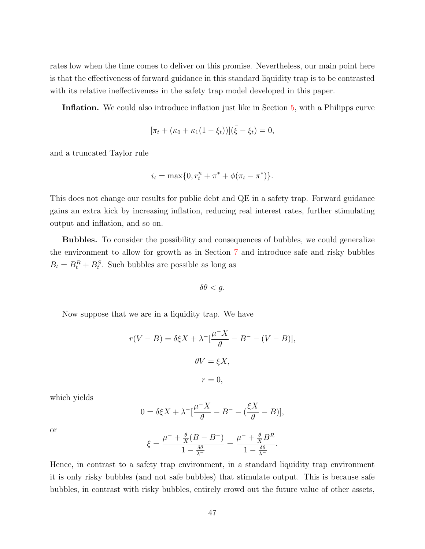rates low when the time comes to deliver on this promise. Nevertheless, our main point here is that the effectiveness of forward guidance in this standard liquidity trap is to be contrasted with its relative ineffectiveness in the safety trap model developed in this paper.

Inflation. We could also introduce inflation just like in Section [5,](#page-29-0) with a Philipps curve

$$
[\pi_t + (\kappa_0 + \kappa_1(1 - \xi_t))](\bar{\xi} - \xi_t) = 0,
$$

and a truncated Taylor rule

$$
i_t = \max\{0, r_t^n + \pi^* + \phi(\pi_t - \pi^*)\}.
$$

This does not change our results for public debt and QE in a safety trap. Forward guidance gains an extra kick by increasing inflation, reducing real interest rates, further stimulating output and inflation, and so on.

Bubbles. To consider the possibility and consequences of bubbles, we could generalize the environment to allow for growth as in Section [7](#page-38-0) and introduce safe and risky bubbles  $B_t = B_t^R + B_t^S$ . Such bubbles are possible as long as

$$
\delta\theta < g.
$$

Now suppose that we are in a liquidity trap. We have

$$
r(V - B) = \delta \xi X + \lambda^{-} \left[ \frac{\mu^{-} X}{\theta} - B^{-} - (V - B) \right],
$$
  

$$
\theta V = \xi X,
$$
  

$$
r = 0,
$$

which yields

$$
0 = \delta \xi X + \lambda^- \left[\frac{\mu^- X}{\theta} - B^- - \left(\frac{\xi X}{\theta} - B\right)\right],
$$

or

$$
\xi = \frac{\mu^- + \frac{\theta}{X}(B - B^-)}{1 - \frac{\delta\theta}{\lambda^-}} = \frac{\mu^- + \frac{\theta}{X}B^R}{1 - \frac{\delta\theta}{\lambda^-}}.
$$

Hence, in contrast to a safety trap environment, in a standard liquidity trap environment it is only risky bubbles (and not safe bubbles) that stimulate output. This is because safe bubbles, in contrast with risky bubbles, entirely crowd out the future value of other assets,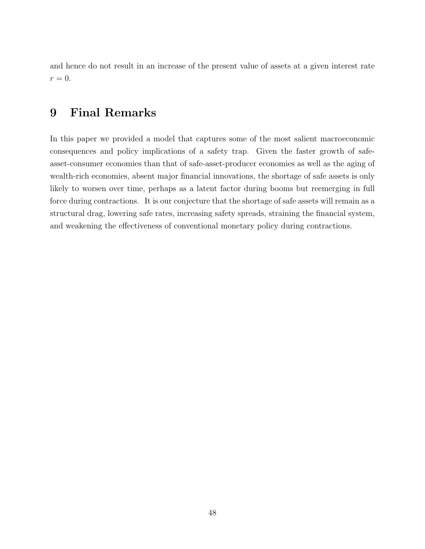and hence do not result in an increase of the present value of assets at a given interest rate  $r=0.$ 

## <span id="page-47-0"></span>9 Final Remarks

In this paper we provided a model that captures some of the most salient macroeconomic consequences and policy implications of a safety trap. Given the faster growth of safeasset-consumer economies than that of safe-asset-producer economies as well as the aging of wealth-rich economies, absent major financial innovations, the shortage of safe assets is only likely to worsen over time, perhaps as a latent factor during booms but reemerging in full force during contractions. It is our conjecture that the shortage of safe assets will remain as a structural drag, lowering safe rates, increasing safety spreads, straining the financial system, and weakening the effectiveness of conventional monetary policy during contractions.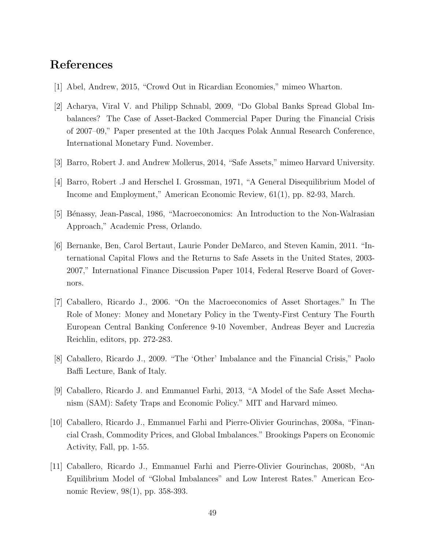## References

- [1] Abel, Andrew, 2015, "Crowd Out in Ricardian Economies," mimeo Wharton.
- [2] Acharya, Viral V. and Philipp Schnabl, 2009, "Do Global Banks Spread Global Imbalances? The Case of Asset-Backed Commercial Paper During the Financial Crisis of 2007–09," Paper presented at the 10th Jacques Polak Annual Research Conference, International Monetary Fund. November.
- [3] Barro, Robert J. and Andrew Mollerus, 2014, "Safe Assets," mimeo Harvard University.
- [4] Barro, Robert .J and Herschel I. Grossman, 1971, "A General Disequilibrium Model of Income and Employment," American Economic Review, 61(1), pp. 82-93, March.
- [5] Bénassy, Jean-Pascal, 1986, "Macroeconomics: An Introduction to the Non-Walrasian Approach," Academic Press, Orlando.
- [6] Bernanke, Ben, Carol Bertaut, Laurie Ponder DeMarco, and Steven Kamin, 2011. "International Capital Flows and the Returns to Safe Assets in the United States, 2003- 2007," International Finance Discussion Paper 1014, Federal Reserve Board of Governors.
- [7] Caballero, Ricardo J., 2006. "On the Macroeconomics of Asset Shortages." In The Role of Money: Money and Monetary Policy in the Twenty-First Century The Fourth European Central Banking Conference 9-10 November, Andreas Beyer and Lucrezia Reichlin, editors, pp. 272-283.
- [8] Caballero, Ricardo J., 2009. "The 'Other' Imbalance and the Financial Crisis," Paolo Baffi Lecture, Bank of Italy.
- [9] Caballero, Ricardo J. and Emmanuel Farhi, 2013, "A Model of the Safe Asset Mechanism (SAM): Safety Traps and Economic Policy." MIT and Harvard mimeo.
- [10] Caballero, Ricardo J., Emmanuel Farhi and Pierre-Olivier Gourinchas, 2008a, "Financial Crash, Commodity Prices, and Global Imbalances." Brookings Papers on Economic Activity, Fall, pp. 1-55.
- [11] Caballero, Ricardo J., Emmanuel Farhi and Pierre-Olivier Gourinchas, 2008b, "An Equilibrium Model of "Global Imbalances" and Low Interest Rates." American Economic Review, 98(1), pp. 358-393.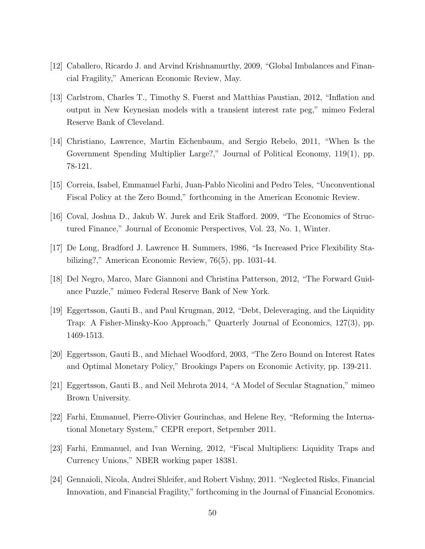- [12] Caballero, Ricardo J. and Arvind Krishnamurthy, 2009, "Global Imbalances and Financial Fragility," American Economic Review, May.
- [13] Carlstrom, Charles T., Timothy S. Fuerst and Matthias Paustian, 2012, "Inflation and output in New Keynesian models with a transient interest rate peg," mimeo Federal Reserve Bank of Cleveland.
- [14] Christiano, Lawrence, Martin Eichenbaum, and Sergio Rebelo, 2011, "When Is the Government Spending Multiplier Large?," Journal of Political Economy, 119(1), pp. 78-121.
- [15] Correia, Isabel, Emmanuel Farhi, Juan-Pablo Nicolini and Pedro Teles, "Unconventional Fiscal Policy at the Zero Bound," forthcoming in the American Economic Review.
- [16] Coval, Joshua D., Jakub W. Jurek and Erik Stafford. 2009, "The Economics of Structured Finance," Journal of Economic Perspectives, Vol. 23, No. 1, Winter.
- [17] De Long, Bradford J. Lawrence H. Summers, 1986, "Is Increased Price Flexibility Stabilizing?," American Economic Review, 76(5), pp. 1031-44.
- [18] Del Negro, Marco, Marc Giannoni and Christina Patterson, 2012, "The Forward Guidance Puzzle," mimeo Federal Reserve Bank of New York.
- [19] Eggertsson, Gauti B., and Paul Krugman, 2012, "Debt, Deleveraging, and the Liquidity Trap: A Fisher-Minsky-Koo Approach," Quarterly Journal of Economics, 127(3), pp. 1469-1513.
- [20] Eggertsson, Gauti B., and Michael Woodford, 2003, "The Zero Bound on Interest Rates and Optimal Monetary Policy," Brookings Papers on Economic Activity, pp. 139-211.
- [21] Eggertsson, Gauti B., and Neil Mehrota 2014, "A Model of Secular Stagnation," mimeo Brown University.
- [22] Farhi, Emmanuel, Pierre-Olivier Gourinchas, and Helene Rey, "Reforming the International Monetary System," CEPR ereport, Setpember 2011.
- [23] Farhi, Emmanuel, and Ivan Werning, 2012, "Fiscal Multipliers: Liquidity Traps and Currency Unions," NBER working paper 18381.
- [24] Gennaioli, Nicola, Andrei Shleifer, and Robert Vishny, 2011. "Neglected Risks, Financial Innovation, and Financial Fragility," forthcoming in the Journal of Financial Economics.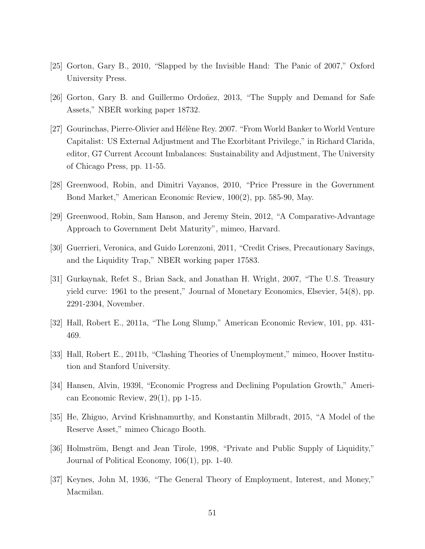- [25] Gorton, Gary B., 2010, "Slapped by the Invisible Hand: The Panic of 2007," Oxford University Press.
- [26] Gorton, Gary B. and Guillermo Ordoñez, 2013, "The Supply and Demand for Safe Assets," NBER working paper 18732.
- [27] Gourinchas, Pierre-Olivier and Hélène Rey. 2007. "From World Banker to World Venture Capitalist: US External Adjustment and The Exorbitant Privilege," in Richard Clarida, editor, G7 Current Account Imbalances: Sustainability and Adjustment, The University of Chicago Press, pp. 11-55.
- [28] Greenwood, Robin, and Dimitri Vayanos, 2010, "Price Pressure in the Government Bond Market," American Economic Review, 100(2), pp. 585-90, May.
- [29] Greenwood, Robin, Sam Hanson, and Jeremy Stein, 2012, "A Comparative-Advantage Approach to Government Debt Maturity", mimeo, Harvard.
- [30] Guerrieri, Veronica, and Guido Lorenzoni, 2011, "Credit Crises, Precautionary Savings, and the Liquidity Trap," NBER working paper 17583.
- [31] Gurkaynak, Refet S., Brian Sack, and Jonathan H. Wright, 2007, "The U.S. Treasury yield curve: 1961 to the present," Journal of Monetary Economics, Elsevier, 54(8), pp. 2291-2304, November.
- [32] Hall, Robert E., 2011a, "The Long Slump," American Economic Review, 101, pp. 431- 469.
- [33] Hall, Robert E., 2011b, "Clashing Theories of Unemployment," mimeo, Hoover Institution and Stanford University.
- [34] Hansen, Alvin, 1939l, "Economic Progress and Declining Population Growth," American Economic Review, 29(1), pp 1-15.
- [35] He, Zhiguo, Arvind Krishnamurthy, and Konstantin Milbradt, 2015, "A Model of the Reserve Asset," mimeo Chicago Booth.
- [36] Holmström, Bengt and Jean Tirole, 1998, "Private and Public Supply of Liquidity," Journal of Political Economy, 106(1), pp. 1-40.
- [37] Keynes, John M, 1936, "The General Theory of Employment, Interest, and Money," Macmilan.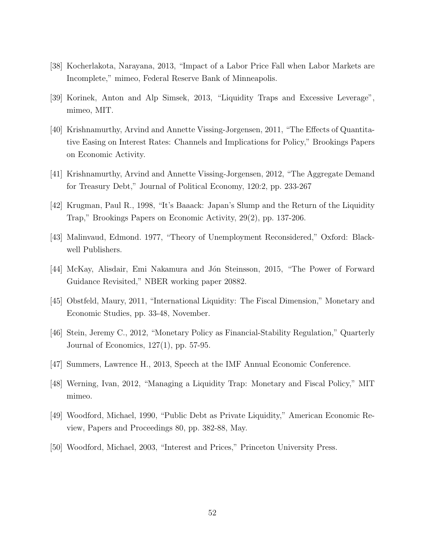- [38] Kocherlakota, Narayana, 2013, "Impact of a Labor Price Fall when Labor Markets are Incomplete," mimeo, Federal Reserve Bank of Minneapolis.
- [39] Korinek, Anton and Alp Simsek, 2013, "Liquidity Traps and Excessive Leverage", mimeo, MIT.
- [40] Krishnamurthy, Arvind and Annette Vissing-Jorgensen, 2011, "The Effects of Quantitative Easing on Interest Rates: Channels and Implications for Policy," Brookings Papers on Economic Activity.
- [41] Krishnamurthy, Arvind and Annette Vissing-Jorgensen, 2012, "The Aggregate Demand for Treasury Debt," Journal of Political Economy, 120:2, pp. 233-267
- [42] Krugman, Paul R., 1998, "It's Baaack: Japan's Slump and the Return of the Liquidity Trap," Brookings Papers on Economic Activity, 29(2), pp. 137-206.
- [43] Malinvaud, Edmond. 1977, "Theory of Unemployment Reconsidered," Oxford: Blackwell Publishers.
- [44] McKay, Alisdair, Emi Nakamura and J´on Steinsson, 2015, "The Power of Forward Guidance Revisited," NBER working paper 20882.
- [45] Obstfeld, Maury, 2011, "International Liquidity: The Fiscal Dimension," Monetary and Economic Studies, pp. 33-48, November.
- [46] Stein, Jeremy C., 2012, "Monetary Policy as Financial-Stability Regulation," Quarterly Journal of Economics, 127(1), pp. 57-95.
- [47] Summers, Lawrence H., 2013, Speech at the IMF Annual Economic Conference.
- [48] Werning, Ivan, 2012, "Managing a Liquidity Trap: Monetary and Fiscal Policy," MIT mimeo.
- [49] Woodford, Michael, 1990, "Public Debt as Private Liquidity," American Economic Review, Papers and Proceedings 80, pp. 382-88, May.
- [50] Woodford, Michael, 2003, "Interest and Prices," Princeton University Press.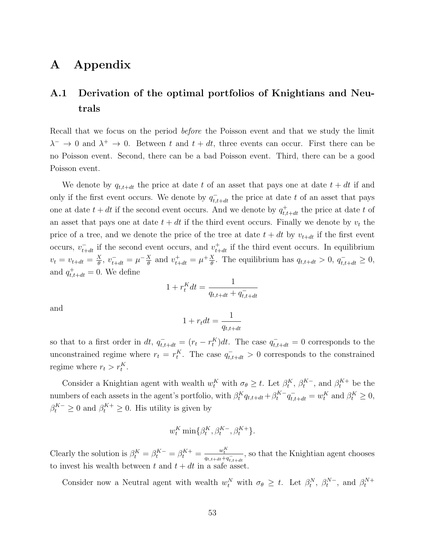## A Appendix

## <span id="page-52-0"></span>A.1 Derivation of the optimal portfolios of Knightians and Neutrals

Recall that we focus on the period *before* the Poisson event and that we study the limit  $\lambda^{-} \to 0$  and  $\lambda^{+} \to 0$ . Between t and  $t + dt$ , three events can occur. First there can be no Poisson event. Second, there can be a bad Poisson event. Third, there can be a good Poisson event.

We denote by  $q_{t,t+dt}$  the price at date t of an asset that pays one at date  $t + dt$  if and only if the first event occurs. We denote by  $q_{t,t+dt}^-$  the price at date t of an asset that pays one at date  $t + dt$  if the second event occurs. And we denote by  $q_{t,t+dt}^+$  the price at date t of an asset that pays one at date  $t + dt$  if the third event occurs. Finally we denote by  $v_t$  the price of a tree, and we denote the price of the tree at date  $t + dt$  by  $v_{t+dt}$  if the first event occurs,  $v_{t+dt}^-$  if the second event occurs, and  $v_{t+dt}^+$  if the third event occurs. In equilibrium  $v_t = v_{t+dt} = \frac{X}{\theta}$  $\frac{X}{\theta}$ ,  $v_{t+dt}^- = \mu^- \frac{X}{\theta}$  $\frac{X}{\theta}$  and  $v_{t+dt}^+ = \mu^+ \frac{X}{\theta}$  $\frac{X}{\theta}$ . The equilibrium has  $q_{t,t+dt} > 0$ ,  $q_{t,t+dt}^{-} \geq 0$ , and  $q_{t,t+dt}^+ = 0$ . We define

$$
1 + r_t^K dt = \frac{1}{q_{t,t+dt} + q_{t,t+dt}^-}
$$

and

$$
1 + r_t dt = \frac{1}{q_{t, t+dt}}
$$

so that to a first order in dt,  $q_{t,t+dt}^- = (r_t - r_t^K)dt$ . The case  $q_{t,t+dt}^- = 0$  corresponds to the unconstrained regime where  $r_t = r_t^K$ . The case  $q_{t,t+dt}^- > 0$  corresponds to the constrained regime where  $r_t > r_t^K$ .

Consider a Knightian agent with wealth  $w_t^K$  with  $\sigma_\theta \geq t$ . Let  $\beta_t^K$ ,  $\beta_t^{K-}$ , and  $\beta_t^{K+}$  be the numbers of each assets in the agent's portfolio, with  $\beta_t^K q_{t,t+dt} + \beta_t^{K^-} q_{t,t+dt}^- = w_t^K$  and  $\beta_t^K \ge 0$ ,  $\beta_t^{K-} \geq 0$  and  $\beta_t^{K+} \geq 0$ . His utility is given by

$$
w_t^K \min\{\beta_t^K, \beta_t^{K-}, \beta_t^{K+}\}.
$$

Clearly the solution is  $\beta_t^K = \beta_t^{K-} = \beta_t^{K+} = \frac{w_t^K}{q_{t,t+dt} + q_{t,t+dt}^-}$ , so that the Knightian agent chooses to invest his wealth between t and  $t + dt$  in a safe asset.

Consider now a Neutral agent with wealth  $w_t^N$  with  $\sigma_{\theta} \geq t$ . Let  $\beta_t^N$ ,  $\beta_t^{N-}$ , and  $\beta_t^{N+}$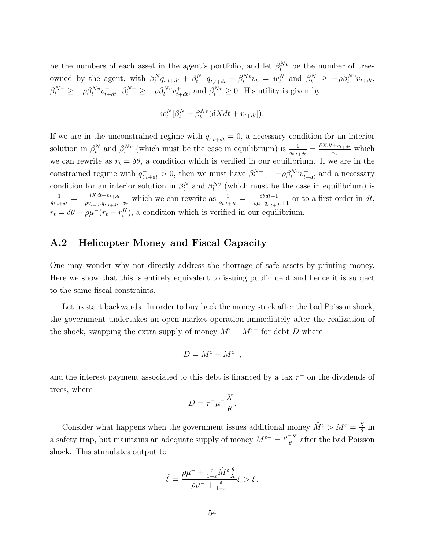be the numbers of each asset in the agent's portfolio, and let  $\beta_t^{N_v}$  be the number of trees owned by the agent, with  $\beta_t^N q_{t,t+dt} + \beta_t^{N-q} \bar{q}_{t,t+dt} + \beta_t^{Nv} v_t = w_t^N$  and  $\beta_t^N \ge -\rho \beta_t^{Nv} v_{t+dt}$ ,  $\beta_t^{N-} \ge -\rho \beta_t^{Nv} v_{t+dt}^-$ ,  $\beta_t^{N+} \ge -\rho \beta_t^{Nv} v_{t+dt}^+$ , and  $\beta_t^{Nv} \ge 0$ . His utility is given by

$$
w_t^N[\beta_t^N + \beta_t^{Nv}(\delta X dt + v_{t+dt}]).
$$

If we are in the unconstrained regime with  $q_{t,t+dt}^- = 0$ , a necessary condition for an interior solution in  $\beta_t^N$  and  $\beta_t^{Nv}$  (which must be the case in equilibrium) is  $\frac{1}{q_{t,t+dt}} = \frac{\delta X dt + v_{t+dt}}{v_t}$  $\frac{v_t + v_{t+dt}}{v_t}$  which we can rewrite as  $r_t = \delta\theta$ , a condition which is verified in our equilibrium. If we are in the constrained regime with  $q_{t,t+dt}^- > 0$ , then we must have  $\beta_t^{N-} = -\rho \beta_t^{Nv} v_{t+dt}^-$  and a necessary condition for an interior solution in  $\beta_t^N$  and  $\beta_t^{Nv}$  (which must be the case in equilibrium) is 1  $\frac{1}{q_{t,t+dt}} = \frac{\delta Xdt + v_{t+dt}}{-\rho v_{t+dt}^T q_{t+dt}^T}$  $\frac{\delta X dt + v_{t+dt}}{-\rho v_{t+dt}^T q_{t,t+dt}^T + v_t}$  which we can rewrite as  $\frac{1}{q_{t,t+dt}} = \frac{\delta \theta dt + 1}{-\rho \mu^{-} q_{t,t+dt}^T}$  $\frac{\delta\theta dt+1}{-\rho\mu-q_{t,t+dt}+1}$  or to a first order in dt,  $r_t = \delta\theta + \rho\mu^-(r_t - r_t^K)$ , a condition which is verified in our equilibrium.

### <span id="page-53-0"></span>A.2 Helicopter Money and Fiscal Capacity

One may wonder why not directly address the shortage of safe assets by printing money. Here we show that this is entirely equivalent to issuing public debt and hence it is subject to the same fiscal constraints.

Let us start backwards. In order to buy back the money stock after the bad Poisson shock, the government undertakes an open market operation immediately after the realization of the shock, swapping the extra supply of money  $M^{\varepsilon} - M^{\varepsilon-}$  for debt D where

$$
D = M^{\varepsilon} - M^{\varepsilon -},
$$

and the interest payment associated to this debt is financed by a tax  $\tau^-$  on the dividends of trees, where

$$
D = \tau^- \mu^- \frac{X}{\theta}.
$$

Consider what happens when the government issues additional money  $\hat{M}^{\varepsilon} > M^{\varepsilon} = \frac{X}{\theta}$  $\frac{x}{\theta}$  in a safety trap, but maintains an adequate supply of money  $M^{\varepsilon-} = \frac{\mu^- X}{\theta}$  $\frac{X}{\theta}$  after the bad Poisson shock. This stimulates output to

$$
\hat{\xi} = \frac{\rho\mu^- + \frac{\varepsilon}{1-\varepsilon}\hat{M}^\varepsilon\frac{\theta}{X}}{\rho\mu^- + \frac{\varepsilon}{1-\varepsilon}}\xi > \xi.
$$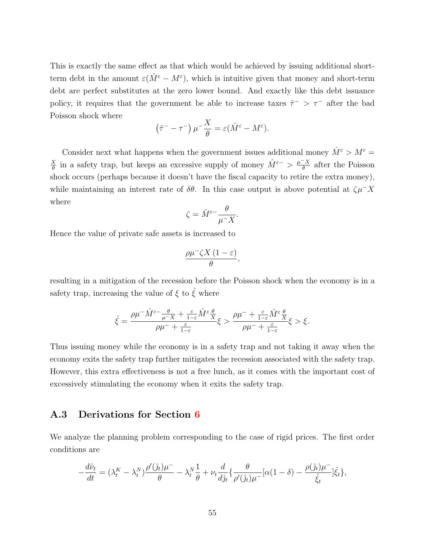This is exactly the same effect as that which would be achieved by issuing additional shortterm debt in the amount  $\varepsilon(\hat{M}^{\varepsilon}-M^{\varepsilon})$ , which is intuitive given that money and short-term debt are perfect substitutes at the zero lower bound. And exactly like this debt issuance policy, it requires that the government be able to increase taxes  $\hat{\tau}$  >  $\tau$ <sup>-</sup> after the bad Poisson shock where

$$
(\hat{\tau}^- - \tau^-)\mu^{-\frac{X}{\theta}} = \varepsilon (\hat{M}^\varepsilon - M^\varepsilon).
$$

Consider next what happens when the government issues additional money  $\hat M^\varepsilon > M^\varepsilon =$ X  $\frac{X}{\theta}$  in a safety trap, but keeps an excessive supply of money  $\hat{M}^{\varepsilon-} > \frac{\mu^{-}X}{\theta}$  $\frac{X}{\theta}$  after the Poisson shock occurs (perhaps because it doesn't have the fiscal capacity to retire the extra money), while maintaining an interest rate of  $\delta\theta$ . In this case output is above potential at  $\zeta\mu$ <sup>-</sup>X where

$$
\zeta = \hat{M}^{\varepsilon -} \frac{\theta}{\mu^- X}.
$$

Hence the value of private safe assets is increased to

$$
\frac{\rho\mu^-\zeta X\left(1-\varepsilon\right)}{\theta},
$$

resulting in a mitigation of the recession before the Poisson shock when the economy is in a safety trap, increasing the value of  $\xi$  to  $\hat{\xi}$  where

$$
\hat{\xi}=\frac{\rho\mu^{-}\hat{M}^{\varepsilon-\frac{\theta}{\mu^{-}X}+\frac{\varepsilon}{1-\varepsilon}\hat{M}^{\varepsilon}\frac{\theta}{X}}{\rho\mu^{-}+\frac{\varepsilon}{1-\varepsilon}}\xi>\frac{\rho\mu^{-}+\frac{\varepsilon}{1-\varepsilon}\hat{M}^{\varepsilon}\frac{\theta}{X}}{\rho\mu^{-}+\frac{\varepsilon}{1-\varepsilon}}\xi>\xi.
$$

Thus issuing money while the economy is in a safety trap and not taking it away when the economy exits the safety trap further mitigates the recession associated with the safety trap. However, this extra effectiveness is not a free lunch, as it comes with the important cost of excessively stimulating the economy when it exits the safety trap.

### A.3 Derivations for Section [6](#page-34-0)

We analyze the planning problem corresponding to the case of rigid prices. The first order conditions are

$$
-\frac{d\hat{\nu}_t}{dt} = (\lambda_t^K - \lambda_t^N) \frac{\rho'(\hat{\jmath}_t)\mu^-}{\theta} - \lambda_t^N \frac{1}{\theta} + \nu_t \frac{d}{d\hat{\jmath}_t} \left\{ \frac{\theta}{\rho'(\hat{\jmath}_t)\mu^-} [\alpha(1-\delta) - \frac{\rho(\hat{\jmath}_t)\mu^-}{\hat{\xi}_t} \right\},\,
$$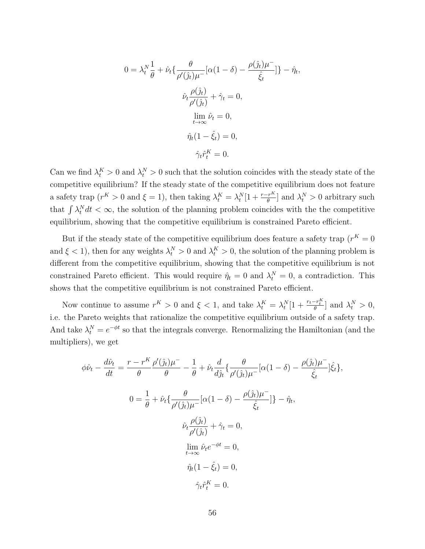$$
0 = \lambda_t^N \frac{1}{\theta} + \hat{\nu}_t \{ \frac{\theta}{\rho'(\hat{\jmath}_t)\mu^-} [\alpha(1-\delta) - \frac{\rho(\hat{\jmath}_t)\mu^-}{\hat{\xi}_t}] \} - \hat{\eta}_t
$$

$$
\hat{\nu}_t \frac{\rho(\hat{\jmath}_t)}{\rho'(\hat{\jmath}_t)} + \hat{\gamma}_t = 0,
$$

$$
\lim_{t \to \infty} \hat{\nu}_t = 0,
$$

$$
\hat{\eta}_t (1 - \hat{\xi}_t) = 0,
$$

$$
\hat{\gamma}_t \hat{r}_t^K = 0.
$$

,

Can we find  $\lambda_t^K > 0$  and  $\lambda_t^N > 0$  such that the solution coincides with the steady state of the competitive equilibrium? If the steady state of the competitive equilibrium does not feature a safety trap  $(r^K > 0$  and  $\xi = 1)$ , then taking  $\lambda_t^K = \lambda_t^N [1 + \frac{r - r^K}{\theta}]$  and  $\lambda_t^N > 0$  arbitrary such that  $\int \lambda_t^N dt < \infty$ , the solution of the planning problem coincides with the the competitive equilibrium, showing that the competitive equilibrium is constrained Pareto efficient.

But if the steady state of the competitive equilibrium does feature a safety trap  $(r<sup>K</sup> = 0$ and  $\xi < 1$ , then for any weights  $\lambda_t^N > 0$  and  $\lambda_t^K > 0$ , the solution of the planning problem is different from the competitive equilibrium, showing that the competitive equilibrium is not constrained Pareto efficient. This would require  $\hat{\eta}_t = 0$  and  $\lambda_t^N = 0$ , a contradiction. This shows that the competitive equilibrium is not constrained Pareto efficient.

Now continue to assume  $r^K > 0$  and  $\xi < 1$ , and take  $\lambda_t^K = \lambda_t^N[1 + \frac{r_t - r_t^K}{\theta}]$  and  $\lambda_t^N > 0$ , i.e. the Pareto weights that rationalize the competitive equilibrium outside of a safety trap. And take  $\lambda_t^N = e^{-\phi t}$  so that the integrals converge. Renormalizing the Hamiltonian (and the multipliers), we get

$$
\phi \hat{\nu}_t - \frac{d\hat{\nu}_t}{dt} = \frac{r - r^K}{\theta} \frac{\rho'(\hat{\jmath}_t)\mu^-}{\theta} - \frac{1}{\theta} + \hat{\nu}_t \frac{d}{d\hat{\jmath}_t} \left\{ \frac{\theta}{\rho'(\hat{\jmath}_t)\mu^-} [\alpha(1-\delta) - \frac{\rho(\hat{\jmath}_t)\mu^-}{\hat{\xi}_t} \right\},
$$
  

$$
0 = \frac{1}{\theta} + \hat{\nu}_t \left\{ \frac{\theta}{\rho'(\hat{\jmath}_t)\mu^-} [\alpha(1-\delta) - \frac{\rho(\hat{\jmath}_t)\mu^-}{\hat{\xi}_t} \right\} - \hat{\eta}_t,
$$
  

$$
\hat{\nu}_t \frac{\rho(\hat{\jmath}_t)}{\rho'(\hat{\jmath}_t)} + \hat{\gamma}_t = 0,
$$
  

$$
\lim_{t \to \infty} \hat{\nu}_t e^{-\phi t} = 0,
$$
  

$$
\hat{\eta}_t (1 - \hat{\xi}_t) = 0,
$$
  

$$
\hat{\gamma}_t \hat{r}_t^K = 0.
$$